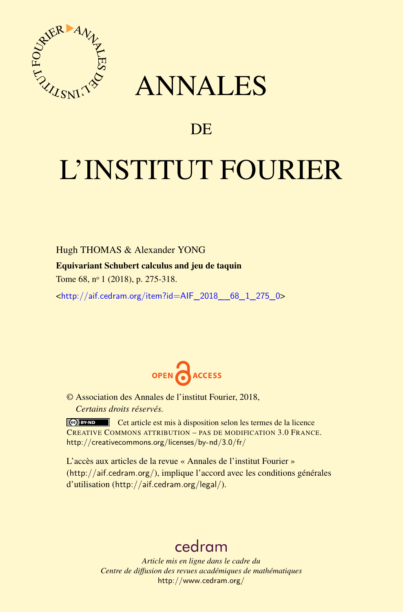

## ANNALES

### **DE**

# L'INSTITUT FOURIER

Hugh THOMAS & Alexander YONG Equivariant Schubert calculus and jeu de taquin Tome 68, n<sup>o</sup> 1 (2018), p. 275-318.

<[http://aif.cedram.org/item?id=AIF\\_2018\\_\\_68\\_1\\_275\\_0](http://aif.cedram.org/item?id=AIF_2018__68_1_275_0)>



© Association des Annales de l'institut Fourier, 2018, *Certains droits réservés.*

Cet article est mis à disposition selon les termes de la licence CREATIVE COMMONS ATTRIBUTION – PAS DE MODIFICATION 3.0 FRANCE. <http://creativecommons.org/licenses/by-nd/3.0/fr/>

L'accès aux articles de la revue « Annales de l'institut Fourier » (<http://aif.cedram.org/>), implique l'accord avec les conditions générales d'utilisation (<http://aif.cedram.org/legal/>).

## [cedram](http://www.cedram.org/)

*Article mis en ligne dans le cadre du Centre de diffusion des revues académiques de mathématiques* <http://www.cedram.org/>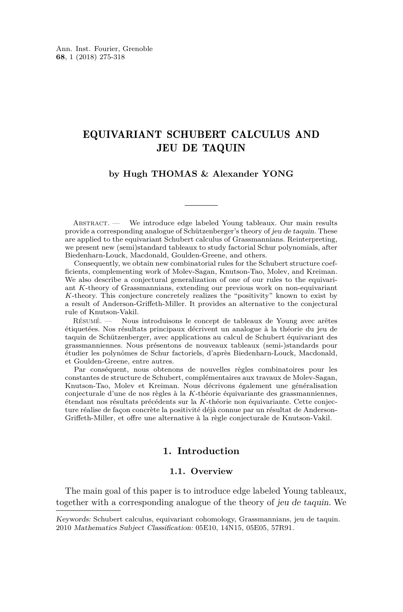#### EQUIVARIANT SCHUBERT CALCULUS AND JEU DE TAQUIN

#### **by Hugh THOMAS & Alexander YONG**

ABSTRACT. — We introduce edge labeled Young tableaux. Our main results provide a corresponding analogue of Schützenberger's theory of jeu de taquin. These are applied to the equivariant Schubert calculus of Grassmannians. Reinterpreting, we present new (semi)standard tableaux to study factorial Schur polynomials, after Biedenharn-Louck, Macdonald, Goulden-Greene, and others.

Consequently, we obtain new combinatorial rules for the Schubert structure coefficients, complementing work of Molev-Sagan, Knutson-Tao, Molev, and Kreiman. We also describe a conjectural generalization of one of our rules to the equivariant *K*-theory of Grassmannians, extending our previous work on non-equivariant *K*-theory. This conjecture concretely realizes the "positivity" known to exist by a result of Anderson-Griffeth-Miller. It provides an alternative to the conjectural rule of Knutson-Vakil.

Résumé. — Nous introduisons le concept de tableaux de Young avec arêtes étiquetées. Nos résultats principaux décrivent un analogue à la théorie du jeu de taquin de Schützenberger, avec applications au calcul de Schubert équivariant des grassmanniennes. Nous présentons de nouveaux tableaux (semi-)standards pour étudier les polynômes de Schur factoriels, d'après Biedenharn-Louck, Macdonald, et Goulden-Greene, entre autres.

Par conséquent, nous obtenons de nouvelles règles combinatoires pour les constantes de structure de Schubert, complémentaires aux travaux de Molev-Sagan, Knutson-Tao, Molev et Kreiman. Nous décrivons également une généralisation conjecturale d'une de nos règles à la *K*-théorie équivariante des grassmanniennes, étendant nos résultats précédents sur la *K*-théorie non équivariante. Cette conjecture réalise de façon concrète la positivité déjà connue par un résultat de Anderson-Griffeth-Miller, et offre une alternative à la règle conjecturale de Knutson-Vakil.

#### **1. Introduction**

#### **1.1. Overview**

<span id="page-1-0"></span>The main goal of this paper is to introduce edge labeled Young tableaux, together with a corresponding analogue of the theory of jeu de taquin. We

Keywords: Schubert calculus, equivariant cohomology, Grassmannians, jeu de taquin. 2010 Mathematics Subject Classification: 05E10, 14N15, 05E05, 57R91.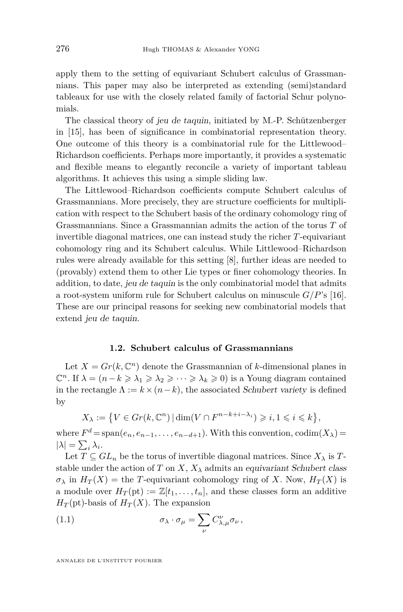apply them to the setting of equivariant Schubert calculus of Grassmannians. This paper may also be interpreted as extending (semi)standard tableaux for use with the closely related family of factorial Schur polynomials.

The classical theory of jeu de taquin, initiated by M.-P. Schützenberger in [\[15\]](#page-43-0), has been of significance in combinatorial representation theory. One outcome of this theory is a combinatorial rule for the Littlewood– Richardson coefficients. Perhaps more importantly, it provides a systematic and flexible means to elegantly reconcile a variety of important tableau algorithms. It achieves this using a simple sliding law.

The Littlewood–Richardson coefficients compute Schubert calculus of Grassmannians. More precisely, they are structure coefficients for multiplication with respect to the Schubert basis of the ordinary cohomology ring of Grassmannians. Since a Grassmannian admits the action of the torus *T* of invertible diagonal matrices, one can instead study the richer *T*-equivariant cohomology ring and its Schubert calculus. While Littlewood–Richardson rules were already available for this setting [\[8\]](#page-43-1), further ideas are needed to (provably) extend them to other Lie types or finer cohomology theories. In addition, to date, jeu de taquin is the only combinatorial model that admits a root-system uniform rule for Schubert calculus on minuscule *G/P*'s [\[16\]](#page-43-2). These are our principal reasons for seeking new combinatorial models that extend jeu de taquin.

#### **1.2. Schubert calculus of Grassmannians**

Let  $X = Gr(k, \mathbb{C}^n)$  denote the Grassmannian of *k*-dimensional planes in  $\mathbb{C}^n$ . If  $\lambda = (n - k \geq \lambda_1 \geq \lambda_2 \geq \cdots \geq \lambda_k \geq 0)$  is a Young diagram contained in the rectangle  $\Lambda := k \times (n-k)$ , the associated Schubert variety is defined by

$$
X_{\lambda} := \left\{ V \in Gr(k, \mathbb{C}^n) \, | \, \dim(V \cap F^{n-k+i-\lambda_i}) \geqslant i, 1 \leqslant i \leqslant k \right\},\
$$

where  $F^d = \text{span}(e_n, e_{n-1}, \ldots, e_{n-d+1})$ . With this convention,  $\text{codim}(X_\lambda) =$  $|\lambda| = \sum_i \lambda_i$ .

Let  $T \subseteq GL_n$  be the torus of invertible diagonal matrices. Since  $X_\lambda$  is  $T$ stable under the action of *T* on *X*,  $X_{\lambda}$  admits an equivariant Schubert class  $\sigma_{\lambda}$  in  $H_T(X)$  = the *T*-equivariant cohomology ring of *X*. Now,  $H_T(X)$  is a module over  $H_T(\text{pt}) := \mathbb{Z}[t_1, \ldots, t_n]$ , and these classes form an additive  $H_T(\text{pt})$ -basis of  $H_T(X)$ . The expansion

(1.1) 
$$
\sigma_{\lambda} \cdot \sigma_{\mu} = \sum_{\nu} C_{\lambda,\mu}^{\nu} \sigma_{\nu},
$$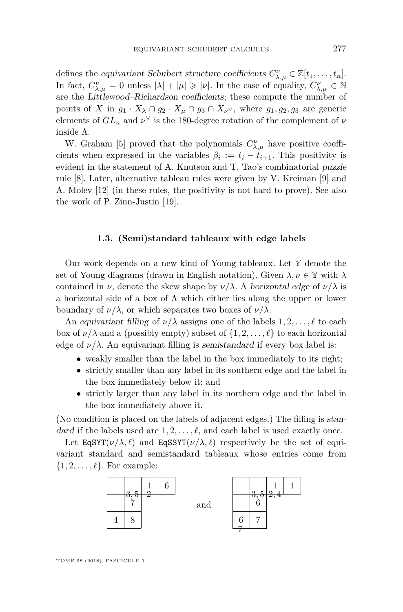defines the equivariant Schubert structure coefficients  $C^{\nu}_{\lambda,\mu} \in \mathbb{Z}[t_1,\ldots,t_n].$ In fact,  $C^{\nu}_{\lambda,\mu} = 0$  unless  $|\lambda| + |\mu| \geqslant |\nu|$ . In the case of equality,  $C^{\nu}_{\lambda,\mu} \in \mathbb{N}$ are the Littlewood–Richardson coefficients; these compute the number of points of *X* in  $g_1 \cdot X_\lambda \cap g_2 \cdot X_\mu \cap g_3 \cap X_{\nu}$ , where  $g_1, g_2, g_3$  are generic elements of  $GL_n$  and  $\nu^{\vee}$  is the 180-degree rotation of the complement of  $\nu$ inside Λ.

W. Graham [\[5\]](#page-43-3) proved that the polynomials  $C^{\nu}_{\lambda,\mu}$  have positive coefficients when expressed in the variables  $\beta_i := t_i - t_{i+1}$ . This positivity is evident in the statement of A. Knutson and T. Tao's combinatorial puzzle rule [\[8\]](#page-43-1). Later, alternative tableau rules were given by V. Kreiman [\[9\]](#page-43-4) and A. Molev [\[12\]](#page-43-5) (in these rules, the positivity is not hard to prove). See also the work of P. Zinn-Justin [\[19\]](#page-43-6).

#### **1.3. (Semi)standard tableaux with edge labels**

<span id="page-3-0"></span>Our work depends on a new kind of Young tableaux. Let Y denote the set of Young diagrams (drawn in English notation). Given  $\lambda, \nu \in \mathbb{Y}$  with  $\lambda$ contained in *ν*, denote the skew shape by  $\nu/\lambda$ . A horizontal edge of  $\nu/\lambda$  is a horizontal side of a box of  $\Lambda$  which either lies along the upper or lower boundary of  $\nu/\lambda$ , or which separates two boxes of  $\nu/\lambda$ .

An equivariant filling of  $\nu/\lambda$  assigns one of the labels  $1, 2, \ldots, \ell$  to each box of  $\nu/\lambda$  and a (possibly empty) subset of  $\{1, 2, \ldots, \ell\}$  to each horizontal edge of  $\nu/\lambda$ . An equivariant filling is semistandard if every box label is:

- weakly smaller than the label in the box immediately to its right;
- strictly smaller than any label in its southern edge and the label in the box immediately below it; and
- strictly larger than any label in its northern edge and the label in the box immediately above it.

(No condition is placed on the labels of adjacent edges.) The filling is standard if the labels used are  $1, 2, \ldots, \ell$ , and each label is used exactly once.

Let  $\text{EqSYT}(\nu/\lambda, \ell)$  and  $\text{EqSSYT}(\nu/\lambda, \ell)$  respectively be the set of equivariant standard and semistandard tableaux whose entries come from  $\{1, 2, \ldots, \ell\}$ . For example:

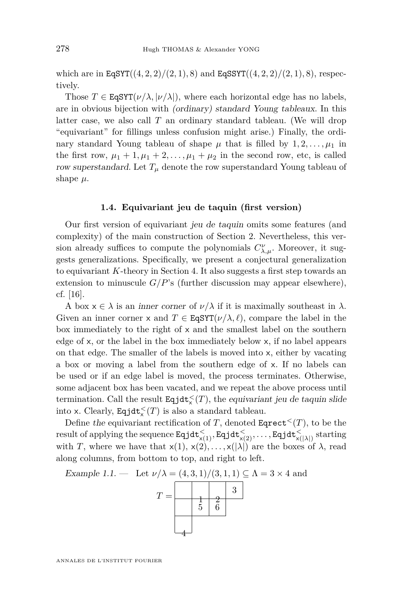which are in  $EqSYT((4, 2, 2)/(2, 1), 8)$  and  $EqSSYT((4, 2, 2)/(2, 1), 8)$ , respectively.

Those  $T \in \text{EqSYT}(\nu/\lambda, |\nu/\lambda|)$ , where each horizontal edge has no labels, are in obvious bijection with (ordinary) standard Young tableaux. In this latter case, we also call *T* an ordinary standard tableau. (We will drop "equivariant" for fillings unless confusion might arise.) Finally, the ordinary standard Young tableau of shape  $\mu$  that is filled by  $1, 2, \ldots, \mu_1$  in the first row,  $\mu_1 + 1, \mu_1 + 2, \ldots, \mu_1 + \mu_2$  in the second row, etc, is called row superstandard. Let  $T<sub>u</sub>$  denote the row superstandard Young tableau of shape *µ*.

#### **1.4. Equivariant jeu de taquin (first version)**

<span id="page-4-1"></span>Our first version of equivariant jeu de taquin omits some features (and complexity) of the main construction of Section [2.](#page-7-0) Nevertheless, this version already suffices to compute the polynomials  $C_{\lambda,\mu}^{\nu}$ . Moreover, it suggests generalizations. Specifically, we present a conjectural generalization to equivariant *K*-theory in Section [4.](#page-37-0) It also suggests a first step towards an extension to minuscule  $G/P$ 's (further discussion may appear elsewhere), cf. [\[16\]](#page-43-2).

A box  $x \in \lambda$  is an *inner corner* of  $\nu/\lambda$  if it is maximally southeast in  $\lambda$ . Given an inner corner x and  $T \in \text{EqSYT}(\nu/\lambda, \ell)$ , compare the label in the box immediately to the right of  $x$  and the smallest label on the southern edge of x, or the label in the box immediately below x, if no label appears on that edge. The smaller of the labels is moved into x, either by vacating a box or moving a label from the southern edge of x. If no labels can be used or if an edge label is moved, the process terminates. Otherwise, some adjacent box has been vacated, and we repeat the above process until termination. Call the result  $\text{Eqjdt}_{\times}^{<}(T)$ , the equivariant jeu de taquin slide into x. Clearly,  $\text{Equ}^{\lt}(T)$  is also a standard tableau.

Define the equivariant rectification of *T*, denoted  $\text{Eqrect}^<(T)$ , to be the  ${\sf result~of~applying~the~sequence~{\sf Eqjdt}^<_{\sf x(1)}, {\sf Eqjdt}^<_{\sf x(2)}, \ldots, {\sf Eqjdt}^<_{\sf x(|\lambda|)}~{\sf starting}}$ with *T*, where we have that  $x(1), x(2), \ldots, x(|\lambda|)$  are the boxes of  $\lambda$ , read along columns, from bottom to top, and right to left.

<span id="page-4-0"></span>Example 1.1. — Let  $\nu/\lambda = (4,3,1)/(3,1,1) \subseteq \Lambda = 3 \times 4$  and

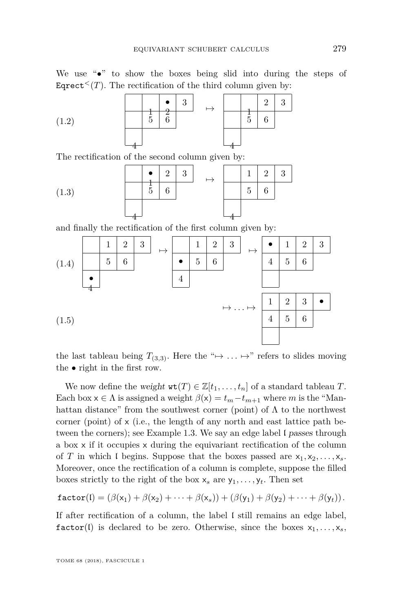We use "•" to show the boxes being slid into during the steps of Eqrect<sup> $\leq$ </sup>(*T*). The rectification of the third column given by:

<span id="page-5-0"></span>

|       |   | $\Omega$ | $\Omega$<br>◡ |  |   | $\Omega$ | ച<br>ಀ |
|-------|---|----------|---------------|--|---|----------|--------|
| (1.2) | υ | ⌒        |               |  | 5 |          |        |
|       |   |          |               |  |   |          |        |

The rectification of the second column given by:

<span id="page-5-1"></span>(1.3) 
$$
\begin{array}{|c|c|c|c|c|}\hline \bullet & 2 & 3 & & \\ \hline \frac{1}{5} & 6 & & \\ \hline \end{array} \longrightarrow \begin{array}{|c|c|c|c|}\hline 1 & 2 & 3 \\ \hline 5 & 6 & \\ \hline \end{array}
$$

and finally the rectification of the first column given by:

<span id="page-5-2"></span>

<span id="page-5-3"></span>the last tableau being  $T_{(3,3)}$ . Here the " $\mapsto \dots \mapsto$ " refers to slides moving the • right in the first row.

We now define the weight  $\texttt{wt}(T) \in \mathbb{Z}[t_1, \ldots, t_n]$  of a standard tableau *T*. Each box  $x \in \Lambda$  is assigned a weight  $\beta(x) = t_m - t_{m+1}$  where *m* is the "Manhattan distance" from the southwest corner (point) of  $\Lambda$  to the northwest corner (point) of  $x$  (i.e., the length of any north and east lattice path be-tween the corners); see Example [1.3.](#page-6-0) We say an edge label I passes through a box x if it occupies x during the equivariant rectification of the column of *T* in which I begins. Suppose that the boxes passed are  $x_1, x_2, \ldots, x_s$ . Moreover, once the rectification of a column is complete, suppose the filled boxes strictly to the right of the box  $x_s$  are  $y_1, \ldots, y_t$ . Then set

$$
\texttt{factor}(\mathfrak{l}) = (\beta(x_1) + \beta(x_2) + \cdots + \beta(x_s)) + (\beta(y_1) + \beta(y_2) + \cdots + \beta(y_t)).
$$

If after rectification of a column, the label I still remains an edge label, factor(I) is declared to be zero. Otherwise, since the boxes  $x_1, \ldots, x_s$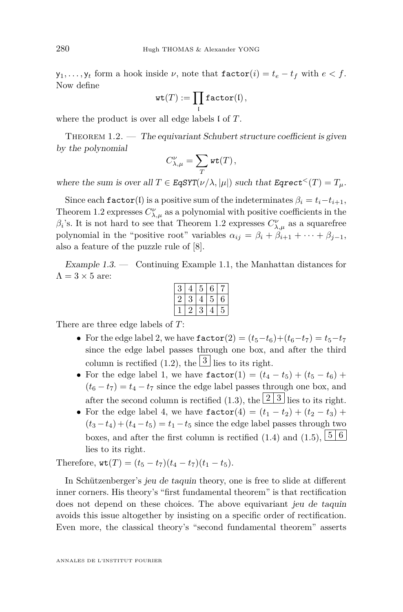$y_1, \ldots, y_t$  form a hook inside  $\nu$ , note that  $\texttt{factor}(i) = t_e - t_f$  with  $e < f$ . Now define

$$
\mathrm{wt}(T):=\prod_\mathfrak{l}\mathtt{factor}(\mathfrak{l})\,,
$$

where the product is over all edge labels l of *T*.

<span id="page-6-1"></span>THEOREM  $1.2.$  — The equivariant Schubert structure coefficient is given by the polynomial

$$
C_{\lambda,\mu}^{\nu}=\sum_{T}\mathrm{wt}(T)\,,
$$

where the sum is over all  $T \in \text{EqSYT}(\nu/\lambda, |\mu|)$  such that  $\text{Eqrect}^{<}(T) = T_{\mu}$ .

Since each  $\texttt{factor}(l)$  is a positive sum of the indeterminates  $\beta_i = t_i - t_{i+1}$ , Theorem [1.2](#page-6-1) expresses  $C^{\nu}_{\lambda,\mu}$  as a polynomial with positive coefficients in the *β*<sup>*i*</sup>'s. It is not hard to see that Theorem [1.2](#page-6-1) expresses  $C^{\nu}_{\lambda,\mu}$  as a squarefree polynomial in the "positive root" variables  $\alpha_{ij} = \beta_i + \beta_{i+1} + \cdots + \beta_{i-1}$ , also a feature of the puzzle rule of [\[8\]](#page-43-1).

<span id="page-6-0"></span>Example 1.3. — Continuing Example [1.1,](#page-4-0) the Manhattan distances for  $\Lambda = 3 \times 5$  are:

|  |  | ï |
|--|--|---|
|  |  | ٦ |

There are three edge labels of *T*:

- For the edge label 2, we have  $\texttt{factor}(2) = (t_5 t_6) + (t_6 t_7) = t_5 t_7$ since the edge label passes through one box, and after the third column is rectified [\(1.2\)](#page-5-0), the  $\boxed{3}$  lies to its right.
- For the edge label 1, we have  $\text{factor}(1) = (t_4 t_5) + (t_5 t_6) +$  $(t_6 - t_7) = t_4 - t_7$  since the edge label passes through one box, and after the second column is rectified [\(1.3\)](#page-5-1), the  $\boxed{2 \, 3}$  lies to its right.
- For the edge label 4, we have  $\text{factor}(4) = (t_1 t_2) + (t_2 t_3) +$  $(t_3 - t_4) + (t_4 - t_5) = t_1 - t_5$  since the edge label passes through two boxes, and after the first column is rectified  $(1.4)$  and  $(1.5)$ ,  $\boxed{5 \, 6}$ lies to its right.

Therefore,  $\texttt{wt}(T) = (t_5 - t_7)(t_4 - t_7)(t_1 - t_5).$ 

In Schützenberger's jeu de taquin theory, one is free to slide at different inner corners. His theory's "first fundamental theorem" is that rectification does not depend on these choices. The above equivariant jeu de taquin avoids this issue altogether by insisting on a specific order of rectification. Even more, the classical theory's "second fundamental theorem" asserts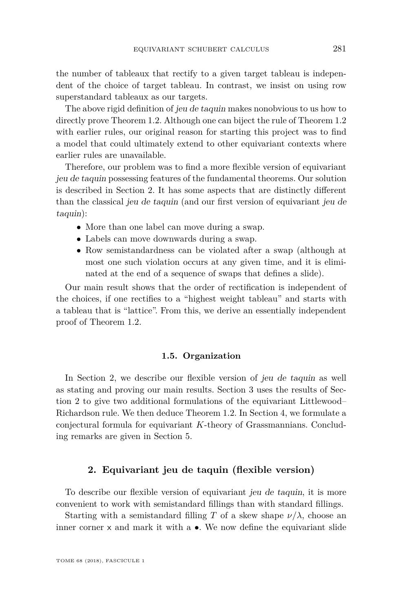the number of tableaux that rectify to a given target tableau is independent of the choice of target tableau. In contrast, we insist on using row superstandard tableaux as our targets.

The above rigid definition of jeu de taquin makes nonobvious to us how to directly prove Theorem [1.2.](#page-6-1) Although one can biject the rule of Theorem [1.2](#page-6-1) with earlier rules, our original reason for starting this project was to find a model that could ultimately extend to other equivariant contexts where earlier rules are unavailable.

Therefore, our problem was to find a more flexible version of equivariant jeu de taquin possessing features of the fundamental theorems. Our solution is described in Section [2.](#page-7-0) It has some aspects that are distinctly different than the classical jeu de taquin (and our first version of equivariant jeu de taquin):

- More than one label can move during a swap.
- Labels can move downwards during a swap.
- Row semistandardness can be violated after a swap (although at most one such violation occurs at any given time, and it is eliminated at the end of a sequence of swaps that defines a slide).

Our main result shows that the order of rectification is independent of the choices, if one rectifies to a "highest weight tableau" and starts with a tableau that is "lattice". From this, we derive an essentially independent proof of Theorem [1.2.](#page-6-1)

#### **1.5. Organization**

In Section [2,](#page-7-0) we describe our flexible version of jeu de taquin as well as stating and proving our main results. Section [3](#page-22-0) uses the results of Section [2](#page-7-0) to give two additional formulations of the equivariant Littlewood– Richardson rule. We then deduce Theorem [1.2.](#page-6-1) In Section [4,](#page-37-0) we formulate a conjectural formula for equivariant *K*-theory of Grassmannians. Concluding remarks are given in Section [5.](#page-42-0)

#### **2. Equivariant jeu de taquin (flexible version)**

<span id="page-7-0"></span>To describe our flexible version of equivariant jeu de taquin, it is more convenient to work with semistandard fillings than with standard fillings.

Starting with a semistandard filling *T* of a skew shape  $\nu/\lambda$ , choose an inner corner  $\times$  and mark it with a  $\bullet$ . We now define the equivariant slide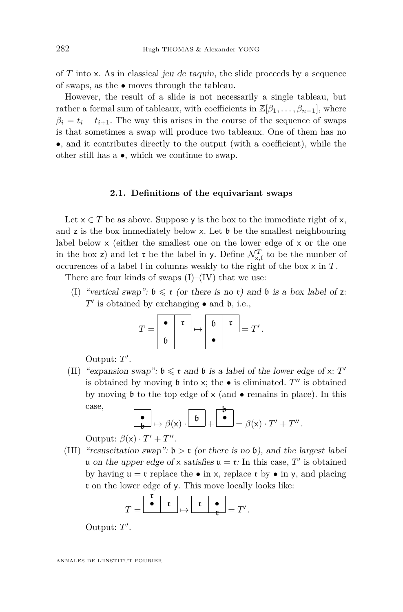of *T* into x. As in classical jeu de taquin, the slide proceeds by a sequence of swaps, as the • moves through the tableau.

However, the result of a slide is not necessarily a single tableau, but rather a formal sum of tableaux, with coefficients in  $\mathbb{Z}[\beta_1, \ldots, \beta_{n-1}]$ , where  $\beta_i = t_i - t_{i+1}$ . The way this arises in the course of the sequence of swaps is that sometimes a swap will produce two tableaux. One of them has no •, and it contributes directly to the output (with a coefficient), while the other still has a •, which we continue to swap.

#### **2.1. Definitions of the equivariant swaps**

Let  $x \in T$  be as above. Suppose y is the box to the immediate right of x, and  $\bar{z}$  is the box immediately below x. Let  $\bar{b}$  be the smallest neighbouring label below x (either the smallest one on the lower edge of x or the one in the box z) and let  $\mathfrak{r}$  be the label in y. Define  $\mathcal{N}_{\mathsf{x},\mathfrak{l}}^T$  to be the number of occurences of a label l in columns weakly to the right of the box x in *T*.

<span id="page-8-0"></span>There are four kinds of swaps  $(I)$ – $(IV)$  that we use:

(I) "vertical swap":  $\mathfrak{b} \leq \mathfrak{r}$  (or there is no  $\mathfrak{r}$ ) and  $\mathfrak{b}$  is a box label of z:  $T'$  is obtained by exchanging  $\bullet$  and  $\mathfrak b$ , i.e.,

$$
T = \begin{array}{|c|c|c|c|c|} \hline \bullet & \mathfrak{r} \\ \hline \mathfrak{b} & & \end{array} \mapsto \begin{array}{|c|c|c|} \hline \mathfrak{b} & \mathfrak{r} \\ \hline \bullet & & \end{array} = T'.
$$

Output: T'.

<span id="page-8-2"></span>(II) "expansion swap":  $\mathfrak{b} \leq \mathfrak{r}$  and  $\mathfrak{b}$  is a label of the lower edge of x:  $T'$ is obtained by moving  $\mathfrak b$  into x; the  $\bullet$  is eliminated.  $T''$  is obtained by moving  $\mathfrak b$  to the top edge of  $x$  (and  $\bullet$  remains in place). In this case, b

$$
\begin{bmatrix} \bullet \\ \bullet \end{bmatrix} \mapsto \beta(x) \cdot \begin{bmatrix} \bullet \\ \bullet \end{bmatrix} + \begin{bmatrix} \bullet \\ \bullet \end{bmatrix} = \beta(x) \cdot T' + T''.
$$

Output:  $\beta(x) \cdot T' + T''$ .

<span id="page-8-1"></span>(III) "resuscitation swap":  $\mathfrak{b} > \mathfrak{r}$  (or there is no  $\mathfrak{b}$ ), and the largest label u on the upper edge of x satisfies  $u = \mathfrak{r}$ : In this case,  $T'$  is obtained by having  $\mathfrak{u} = \mathfrak{r}$  replace the  $\bullet$  in x, replace  $\mathfrak{r}$  by  $\bullet$  in y, and placing r on the lower edge of y. This move locally looks like:

$$
T = \begin{array}{|c|c|c|c|c|} \hline \bullet & \mathfrak{r} \\ \hline \bullet & \mathfrak{r} \end{array} \mapsto \begin{array}{|c|c|c|} \hline \mathfrak{r} & \bullet \\ \hline \mathfrak{r} & \bullet \end{array} = T'.
$$

Output: T'.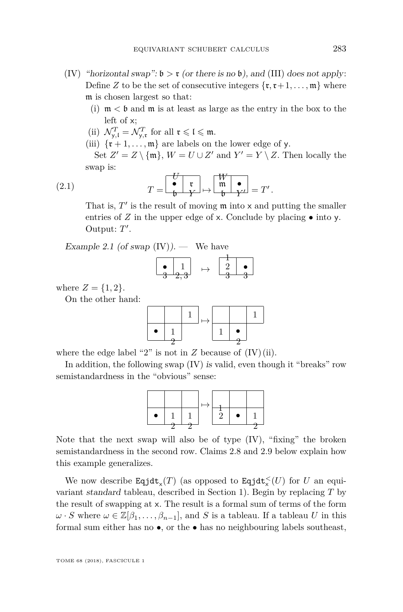- <span id="page-9-3"></span><span id="page-9-0"></span>(IV) "horizontal swap":  $\mathfrak{b} > \mathfrak{r}$  (or there is no  $\mathfrak{b}$ ), and [\(III\)](#page-8-1) does not apply: Define *Z* to be the set of consecutive integers  $\{r, r+1, \ldots, m\}$  where m is chosen largest so that:
	- (i)  $m < b$  and  $m$  is at least as large as the entry in the box to the left of x;
	- (ii)  $\mathcal{N}_{\mathsf{y},\mathfrak{l}}^T = \mathcal{N}_{\mathsf{y},\mathfrak{r}}^T$  for all  $\mathfrak{r} \leqslant \mathfrak{l} \leqslant \mathfrak{m}$ .
	- (iii)  $\{r+1,\ldots,m\}$  are labels on the lower edge of y.
	- Set  $Z' = Z \setminus \{\mathfrak{m}\}, W = U \cup Z'$  and  $Y' = Y \setminus Z$ . Then locally the swap is:

<span id="page-9-4"></span><span id="page-9-1"></span>(2.1) 
$$
T = \begin{bmatrix} \mathbf{U} \\ \mathbf{v} \\ \mathbf{b} \end{bmatrix} \mapsto \begin{bmatrix} W \\ \mathbf{m} \\ \mathbf{b} \end{bmatrix} \mathbf{V} = T'.
$$

<span id="page-9-5"></span>That is,  $T'$  is the result of moving  $\mathfrak m$  into x and putting the smaller entries of  $Z$  in the upper edge of  $x$ . Conclude by placing  $\bullet$  into  $y$ . Output: T'.

<span id="page-9-2"></span>Example 2.1 (of swap  $(IV)$ ). — We have

$$
\begin{array}{|c|c|c|}\hline \bullet & 1 \\ \hline 3 & 2,3 \\ \hline \end{array} \mapsto \begin{array}{|c|c|}\hline 2 & \bullet \\ \hline 3 & 3 \\ \hline \end{array}
$$

where  $Z = \{1, 2\}.$ 

On the other hand:

$$
\begin{array}{|c|c|c|}\hline & & 1 & \\ \hline \bullet & 1 & & \\ \hline 2 & & & \\ \hline \end{array} \mapsto \begin{array}{|c|c|c|}\hline & 1 & \\ \hline 1 & \bullet & \\ \hline 2 & & \\ \hline \end{array}
$$

where the edge label "2" is not in  $Z$  because of  $(IV)(ii)$  $(IV)(ii)$ .

In addition, the following swap [\(IV\)](#page-9-0) is valid, even though it "breaks" row semistandardness in the "obvious" sense:



Note that the next swap will also be of type [\(IV\)](#page-9-0), "fixing" the broken semistandardness in the second row. Claims [2.8](#page-15-0) and [2.9](#page-16-0) below explain how this example generalizes.

We now describe  $\text{Eqjdt}_{\mathsf{x}}(T)$  (as opposed to  $\text{Eqjdt}_{\mathsf{x}}^{\mathsf{<}}(U)$  for *U* an equivariant standard tableau, described in Section [1\)](#page-1-0). Begin by replacing *T* by the result of swapping at x. The result is a formal sum of terms of the form  $\omega \cdot S$  where  $\omega \in \mathbb{Z}[\beta_1,\ldots,\beta_{n-1}]$ , and *S* is a tableau. If a tableau *U* in this formal sum either has no •, or the • has no neighbouring labels southeast,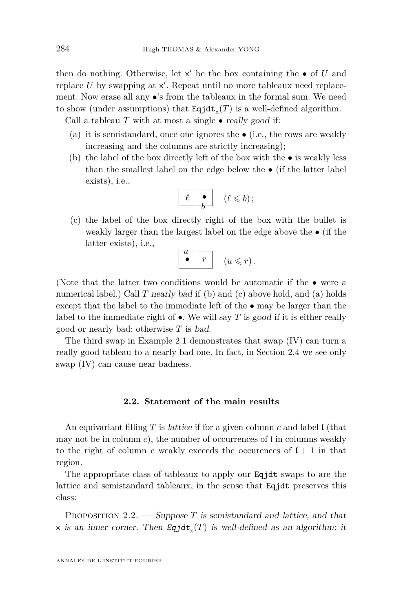then do nothing. Otherwise, let  $x'$  be the box containing the  $\bullet$  of  $U$  and replace  $U$  by swapping at  $x'$ . Repeat until no more tableaux need replacement. Now erase all any  $\bullet$ 's from the tableaux in the formal sum. We need to show (under assumptions) that  $\text{Eqjdt}_{\mathsf{x}}(T)$  is a well-defined algorithm.

<span id="page-10-2"></span>Call a tableau  $T$  with at most a single  $\bullet$  really good if:

- (a) it is semistandard, once one ignores the  $\bullet$  (i.e., the rows are weakly increasing and the columns are strictly increasing);
- <span id="page-10-0"></span>(b) the label of the box directly left of the box with the • is weakly less than the smallest label on the edge below the • (if the latter label exists), i.e.,

$$
\begin{array}{|c|c|}\hline \ell & \bullet \\ \hline b & (\ell \leqslant b)\,; \\\hline \end{array}
$$

<span id="page-10-1"></span>(c) the label of the box directly right of the box with the bullet is weakly larger than the largest label on the edge above the • (if the latter exists), i.e.,

$$
\begin{array}{c|c} u & r & (u \leqslant r) \end{array}.
$$

(Note that the latter two conditions would be automatic if the  $\bullet$  were a numerical label.) Call *T* nearly bad if [\(b\)](#page-10-0) and [\(c\)](#page-10-1) above hold, and [\(a\)](#page-10-2) holds except that the label to the immediate left of the • may be larger than the label to the immediate right of  $\bullet$ . We will say *T* is good if it is either really good or nearly bad; otherwise *T* is bad.

The third swap in Example [2.1](#page-9-2) demonstrates that swap [\(IV\)](#page-9-0) can turn a really good tableau to a nearly bad one. In fact, in Section [2.4](#page-18-0) we see only swap [\(IV\)](#page-9-0) can cause near badness.

#### **2.2. Statement of the main results**

An equivariant filling *T* is lattice if for a given column *c* and label l (that may not be in column  $c$ ), the number of occurrences of  $\mathfrak l$  in columns weakly to the right of column *c* weakly exceeds the occurences of  $l + 1$  in that region.

The appropriate class of tableaux to apply our Eqjdt swaps to are the lattice and semistandard tableaux, in the sense that Eqjdt preserves this class:

<span id="page-10-3"></span>PROPOSITION 2.2. — Suppose *T* is semistandard and lattice, and that  $\times$  is an inner corner. Then  $\text{Eqjdt}_{\times}(T)$  is well-defined as an algorithm: it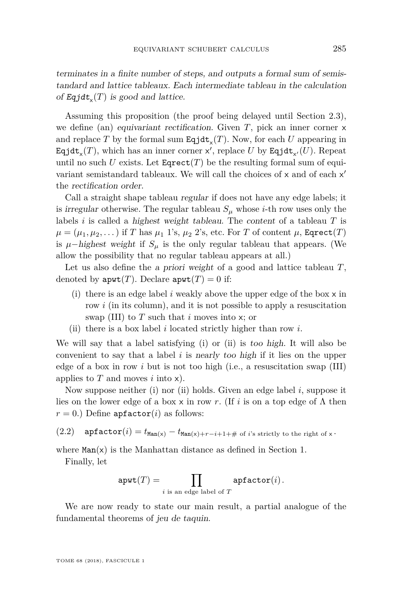terminates in a finite number of steps, and outputs a formal sum of semistandard and lattice tableaux. Each intermediate tableau in the calculation of  $\text{Eqjdt}_{\mathsf{x}}(T)$  is good and lattice.

Assuming this proposition (the proof being delayed until Section [2.3\)](#page-13-0), we define (an) equivariant rectification. Given *T*, pick an inner corner x and replace  $T$  by the formal sum  $\text{Eqjdt}_{\mathbf{x}}(T)$ . Now, for each  $U$  appearing in  $\texttt{Equat}_x(T)$ , which has an inner corner  $x'$ , replace  $U$  by  $\texttt{Equat}_{x'}(U)$ . Repeat until no such *U* exists. Let  $\text{E਼ $\text{grect}(T)$  be the resulting formal sum of equi$ variant semistandard tableaux. We will call the choices of  $\times$  and of each  $\times'$ the rectification order.

Call a straight shape tableau regular if does not have any edge labels; it is irregular otherwise. The regular tableau  $S_\mu$  whose *i*-th row uses only the labels *i* is called a highest weight tableau. The content of a tableau *T* is  $\mu = (\mu_1, \mu_2, \dots)$  if *T* has  $\mu_1$  1's,  $\mu_2$  2's, etc. For *T* of content  $\mu$ , Eqrect(*T*) is  $\mu$ −highest weight if  $S_\mu$  is the only regular tableau that appears. (We allow the possibility that no regular tableau appears at all.)

Let us also define the a priori weight of a good and lattice tableau *T*, denoted by  $\text{apwt}(T)$ . Declare  $\text{apwt}(T) = 0$  if:

- <span id="page-11-0"></span>(i) there is an edge label *i* weakly above the upper edge of the box x in row *i* (in its column), and it is not possible to apply a resuscitation swap [\(III\)](#page-8-1) to *T* such that *i* moves into x; or
- <span id="page-11-1"></span>(ii) there is a box label *i* located strictly higher than row *i*.

We will say that a label satisfying [\(i\)](#page-11-0) or [\(ii\)](#page-11-1) is too high. It will also be convenient to say that a label *i* is nearly too high if it lies on the upper edge of a box in row *i* but is not too high (i.e., a resuscitation swap [\(III\)](#page-8-1) applies to *T* and moves *i* into x).

Now suppose neither [\(i\)](#page-11-0) nor [\(ii\)](#page-11-1) holds. Given an edge label *i*, suppose it lies on the lower edge of a box x in row r. (If *i* is on a top edge of  $\Lambda$  then  $r = 0.$ ) Define apfactor(*i*) as follows:

<span id="page-11-2"></span>(2.2) **apfactor**
$$
(i) = t_{\text{Man}(x)} - t_{\text{Man}(x)+r-i+1} +
$$
 of *i*'s strictly to the right of *x*.

where  $Man(x)$  is the Manhattan distance as defined in Section [1.](#page-1-0)

Finally, let

$$
apwt(T) = \prod_{i \text{ is an edge label of } T} apfactor(i).
$$

We are now ready to state our main result, a partial analogue of the fundamental theorems of jeu de taquin.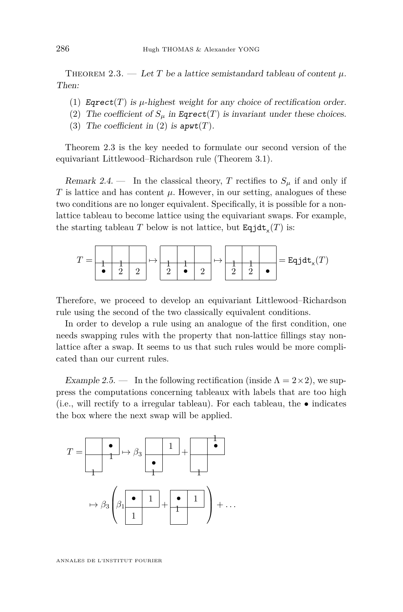<span id="page-12-1"></span>THEOREM 2.3. — Let *T* be a lattice semistandard tableau of content  $\mu$ . Then:

- <span id="page-12-2"></span>(1) Eqrect $(T)$  is  $\mu$ -highest weight for any choice of rectification order.
- <span id="page-12-0"></span>(2) The coefficient of  $S_\mu$  in Eqrect(*T*) is invariant under these choices.
- <span id="page-12-3"></span>(3) The coefficient in [\(2\)](#page-12-0) is  $\text{apwt}(T)$ .

Theorem [2.3](#page-12-1) is the key needed to formulate our second version of the equivariant Littlewood–Richardson rule (Theorem [3.1\)](#page-22-1).

Remark 2.4. — In the classical theory, *T* rectifies to  $S_\mu$  if and only if *T* is lattice and has content  $\mu$ . However, in our setting, analogues of these two conditions are no longer equivalent. Specifically, it is possible for a nonlattice tableau to become lattice using the equivariant swaps. For example, the starting tableau *T* below is not lattice, but  $\text{Eqjdt}_{\mathsf{x}}(T)$  is:

$$
T = \begin{array}{|c|c|c|c|c|c|} \hline \textbf{1} & \textbf{1} & \textbf{1} & \textbf{1} \\ \hline \textbf{1} & \textbf{2} & \textbf{2} & \textbf{3} & \textbf{4} & \textbf{2} \\ \hline \textbf{2} & \textbf{3} & \textbf{2} & \textbf{4} & \textbf{2} & \textbf{4} & \textbf{4} \\ \hline \textbf{3} & \textbf{4} & \textbf{5} & \textbf{5} & \textbf{2} & \textbf{4} & \textbf{4} & \textbf{4} \\ \hline \textbf{4} & \textbf{5} & \textbf{5} & \textbf{6} & \textbf{5} & \textbf{5} & \textbf{5} & \textbf{6} \\ \hline \textbf{5} & \textbf{6} & \textbf{7} & \textbf{8} & \textbf{1} & \textbf{1} & \textbf{1} & \textbf{1} & \textbf{1} \\ \hline \textbf{6} & \textbf{8} & \textbf{1} & \textbf{1} & \textbf{1} & \textbf{1} & \textbf{1} & \textbf{1} & \textbf{1} \\ \hline \textbf{7} & \textbf{1} & \textbf{1} & \textbf{1} & \textbf{1} & \textbf{1} & \textbf{1} & \textbf{1} & \textbf{1} \\ \hline \textbf{8} & \textbf{1} & \textbf{1} & \textbf{1} & \textbf{1} & \textbf{1} & \textbf{1} & \textbf{1} & \textbf{1} \\ \hline \textbf{9} & \textbf{1} & \textbf{1} & \textbf{1} & \textbf{1} & \textbf{1} & \textbf{1} & \textbf{1} & \textbf{1} \\ \hline \textbf{1} & \textbf{1} & \textbf{1
$$

Therefore, we proceed to develop an equivariant Littlewood–Richardson rule using the second of the two classically equivalent conditions.

In order to develop a rule using an analogue of the first condition, one needs swapping rules with the property that non-lattice fillings stay nonlattice after a swap. It seems to us that such rules would be more complicated than our current rules.

Example 2.5. — In the following rectification (inside  $\Lambda = 2 \times 2$ ), we suppress the computations concerning tableaux with labels that are too high (i.e., will rectify to a irregular tableau). For each tableau, the  $\bullet$  indicates the box where the next swap will be applied.

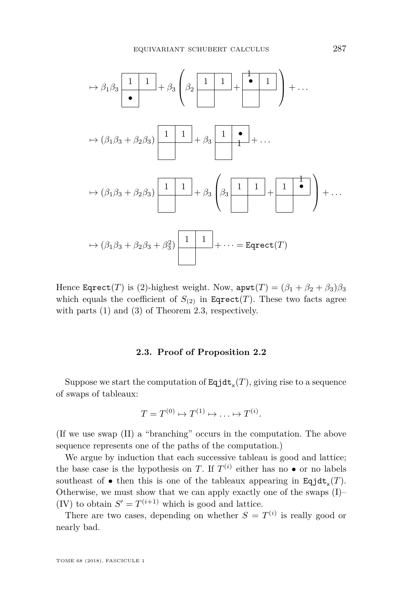$$
\mapsto \beta_1 \beta_3 \underbrace{\begin{bmatrix} 1 & 1 \\ \bullet \end{bmatrix}}_{+} + \beta_3 \left( \beta_2 \underbrace{\begin{bmatrix} 1 & 1 \\ \bullet \end{bmatrix}}_{+} + \underbrace{\begin{bmatrix} \bullet & 1 \\ \bullet & 1 \end{bmatrix}}_{+} \right) + \dots
$$

$$
\mapsto (\beta_1 \beta_3 + \beta_2 \beta_3) \underbrace{\begin{bmatrix} 1 & 1 \\ \bullet \end{bmatrix}}_{+} + \beta_3 \underbrace{\begin{bmatrix} 1 & 1 \\ \bullet \end{bmatrix}}_{+} + \dots
$$

$$
\mapsto (\beta_1 \beta_3 + \beta_2 \beta_3) \underbrace{\begin{bmatrix} 1 & 1 \\ \bullet \end{bmatrix}}_{+} + \beta_3 \underbrace{\begin{bmatrix} \beta_3 \underbrace{\begin{bmatrix} 1 & 1 \\ \bullet \end{bmatrix}}_{+} + \underbrace{\begin{bmatrix} 1 & 1 \\ \bullet \end{bmatrix}}_{-} + \dots
$$

$$
\mapsto (\beta_1 \beta_3 + \beta_2 \beta_3 + \beta_3^2) \underbrace{\begin{bmatrix} 1 & 1 \\ \bullet \end{bmatrix}}_{+} + \dots = \text{Eqrect}(T)
$$

Hence Eqrect(*T*) is (2)-highest weight. Now,  $apwt(T) = (\beta_1 + \beta_2 + \beta_3)\beta_3$ which equals the coefficient of  $S_{(2)}$  in Eqrect(*T*). These two facts agree with parts [\(1\)](#page-12-2) and [\(3\)](#page-12-3) of Theorem [2.3,](#page-12-1) respectively.

#### **2.3. Proof of Proposition [2.2](#page-10-3)**

<span id="page-13-0"></span>Suppose we start the computation of  $\text{Eqjdt}_{\mathsf{x}}(T)$ , giving rise to a sequence of swaps of tableaux:

$$
T = T^{(0)} \mapsto T^{(1)} \mapsto \ldots \mapsto T^{(i)}.
$$

(If we use swap [\(II\)](#page-8-2) a "branching" occurs in the computation. The above sequence represents one of the paths of the computation.)

We argue by induction that each successive tableau is good and lattice; the base case is the hypothesis on *T*. If  $T^{(i)}$  either has no  $\bullet$  or no labels southeast of  $\bullet$  then this is one of the tableaux appearing in Eqjdt<sub>x</sub> $(T)$ . Otherwise, we must show that we can apply exactly one of the swaps [\(I\)](#page-8-0)– [\(IV\)](#page-9-0) to obtain  $S' = T^{(i+1)}$  which is good and lattice.

There are two cases, depending on whether  $S = T^{(i)}$  is really good or nearly bad.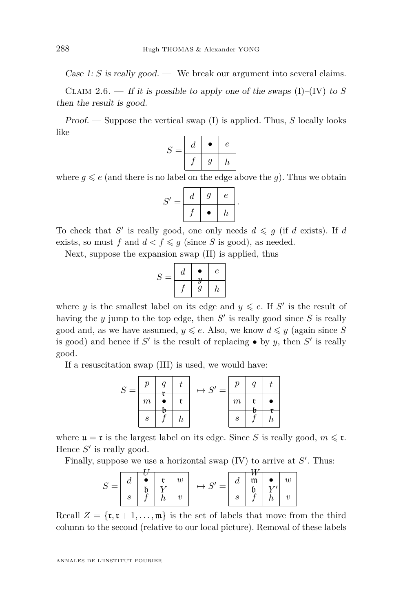Case 1: *S* is really good. — We break our argument into several claims.

CLAIM 2.6. — If it is possible to apply one of the swaps  $(I)$ – $(IV)$  to *S* then the result is good.

Proof. — Suppose the vertical swap [\(I\)](#page-8-0) is applied. Thus, *S* locally looks like

$$
S = \begin{array}{|c|c|c|} \hline d & \bullet & e \\ \hline f & g & h \\ \hline \end{array}
$$

where  $g \leqslant e$  (and there is no label on the edge above the *g*). Thus we obtain

$$
S' = \begin{array}{|c|c|c|} \hline d & g & e \\ \hline f & \bullet & h \end{array}.
$$

To check that *S'* is really good, one only needs  $d \leq g$  (if *d* exists). If *d* exists, so must f and  $d < f \leq g$  (since S is good), as needed.

Next, suppose the expansion swap [\(II\)](#page-8-2) is applied, thus

$$
S = \begin{array}{|c|c|c|} \hline d & \bullet & e \\ \hline f & g & h \\ \hline \end{array}
$$

where *y* is the smallest label on its edge and  $y \leq e$ . If S' is the result of having the  $y$  jump to the top edge, then  $S'$  is really good since  $S$  is really good and, as we have assumed,  $y \leq e$ . Also, we know  $d \leq y$  (again since S is good) and hence if  $S'$  is the result of replacing  $\bullet$  by *y*, then  $S'$  is really good.

If a resuscitation swap [\(III\)](#page-8-1) is used, we would have:

$$
S = \begin{array}{|c|c|c|c|c|} \hline p & q & t \\ \hline m & \bullet & \mathfrak{r} \\ \hline s & f & h \\ \hline \end{array} \mapsto S' = \begin{array}{|c|c|} \hline p & q & t \\ \hline m & \mathfrak{r} & \bullet \\ \hline m & \mathfrak{r} & \bullet \\ \hline s & f & h \\ \hline \end{array}
$$

where  $\mathfrak{u} = \mathfrak{r}$  is the largest label on its edge. Since *S* is really good,  $m \leq \mathfrak{r}$ . Hence  $S'$  is really good.

Finally, suppose we use a horizontal swap  $(IV)$  to arrive at  $S'$ . Thus:

$$
S = \begin{array}{|c|c|c|c|c|c|} \hline d & \bullet & \mathfrak{r} & w \\ \hline \mathfrak{s} & \mathfrak{b} & Y & \\ \hline \end{array} \mapsto S' = \begin{array}{|c|c|c|} \hline d & \mathfrak{m} & \bullet & w \\ \hline \mathfrak{b} & Y & Y & \\ \hline \end{array}
$$

Recall  $Z = \{r, r+1, \ldots, m\}$  is the set of labels that move from the third column to the second (relative to our local picture). Removal of these labels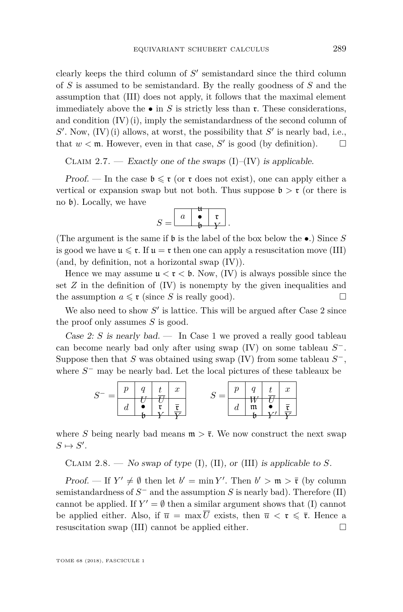clearly keeps the third column of  $S'$  semistandard since the third column of *S* is assumed to be semistandard. By the really goodness of *S* and the assumption that [\(III\)](#page-8-1) does not apply, it follows that the maximal element immediately above the  $\bullet$  in *S* is strictly less than **r**. These considerations, and condition  $(V)(i)$ , imply the semistandardness of the second column of  $S'$ . Now,  $(IV)(i)$  $(IV)(i)$  allows, at worst, the possibility that  $S'$  is nearly bad, i.e., that  $w < \mathfrak{m}$ . However, even in that case, S' is good (by definition).  $\square$ 

CLAIM 2.7. — Exactly one of the swaps  $(I)$ – $(IV)$  is applicable.

Proof. — In the case  $\mathfrak{b} \leq \mathfrak{r}$  (or  $\mathfrak{r}$  does not exist), one can apply either a vertical or expansion swap but not both. Thus suppose  $\mathfrak{b} > \mathfrak{r}$  (or there is no b). Locally, we have

$$
S = \begin{array}{|c|c|} \hline a & \bullet & \mathfrak{r} \\ \hline & \bullet & \mathfrak{r} \\ \hline & \mathfrak{b} & Y \end{array}.
$$

(The argument is the same if b is the label of the box below the •.) Since *S* is good we have  $\mathfrak{u} \leq \mathfrak{r}$ . If  $\mathfrak{u} = \mathfrak{r}$  then one can apply a resuscitation move [\(III\)](#page-8-1) (and, by definition, not a horizontal swap [\(IV\)](#page-9-0)).

Hence we may assume  $\mu < \tau < \mathfrak{b}$ . Now, [\(IV\)](#page-9-0) is always possible since the set  $Z$  in the definition of  $(IV)$  is nonempty by the given inequalities and the assumption  $a \leq \mathfrak{r}$  (since *S* is really good).

We also need to show  $S'$  is lattice. This will be argued after Case 2 since the proof only assumes *S* is good.

Case 2: *S* is nearly bad. — In Case 1 we proved a really good tableau can become nearly bad only after using swap [\(IV\)](#page-9-0) on some tableau *S* −. Suppose then that *S* was obtained using swap [\(IV\)](#page-9-0) from some tableau *S* −, where  $S$ <sup>−</sup> may be nearly bad. Let the local pictures of these tableaux be



where *S* being nearly bad means  $m > \bar{r}$ . We now construct the next swap  $S \mapsto S'.$ 

<span id="page-15-0"></span>CLAIM 2.8. — No swap of type  $(I)$ ,  $(II)$ , or  $(III)$  is applicable to *S*.

Proof. — If  $Y' \neq \emptyset$  then let  $b' = \min Y'$ . Then  $b' > \mathfrak{m} > \bar{\mathfrak{r}}$  (by column semistandardness of  $S^-$  and the assumption  $S$  is nearly bad). Therefore [\(II\)](#page-8-2) cannot be applied. If  $Y' = \emptyset$  then a similar argument shows that [\(I\)](#page-8-0) cannot be applied either. Also, if  $\overline{u} = \max \overline{U}$  exists, then  $\overline{u} < \mathfrak{r} \leq \overline{\mathfrak{r}}$ . Hence a resuscitation swap [\(III\)](#page-8-1) cannot be applied either.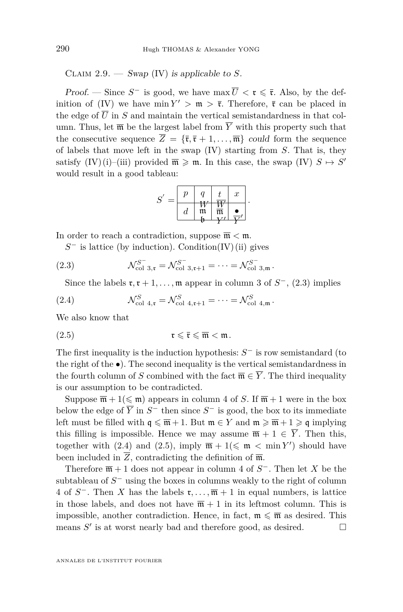<span id="page-16-0"></span>CLAIM  $2.9.$  — Swap [\(IV\)](#page-9-0) is applicable to *S*.

Proof. — Since  $S^-$  is good, we have max  $\overline{U} < \mathfrak{r} \leq \overline{\mathfrak{r}}$ . Also, by the def-inition of [\(IV\)](#page-9-0) we have  $\min Y' > \mathfrak{m} > \bar{\mathfrak{r}}$ . Therefore,  $\bar{\mathfrak{r}}$  can be placed in the edge of  $\overline{U}$  in *S* and maintain the vertical semistandardness in that column. Thus, let  $\overline{\mathfrak{m}}$  be the largest label from  $\overline{Y}$  with this property such that the consecutive sequence  $\overline{Z} = {\overline{\tau}, \overline{\tau} + 1, ..., \overline{m}}$  could form the sequence of labels that move left in the swap [\(IV\)](#page-9-0) starting from *S*. That is, they satisfy  $(IV)(i)$  $(IV)(i)$ –[\(iii\)](#page-9-4) provided  $\overline{\mathfrak{m}} \geq \mathfrak{m}$ . In this case, the swap  $(IV)$   $S \mapsto S'$ would result in a good tableau:

$$
S' = \begin{bmatrix} p & q & t & x \\ d & w & \overline{w} & \overline{w} \\ d & \overline{w} & \overline{w} & \overline{r} \\ b & Y' & \overline{Y}' \end{bmatrix}.
$$

In order to reach a contradiction, suppose  $\overline{\mathfrak{m}} < \mathfrak{m}$ .

<span id="page-16-1"></span>*S*<sup>−</sup> is lattice (by induction). Condition[\(IV\)](#page-9-0)[\(ii\)](#page-9-1) gives

(2.3) 
$$
\mathcal{N}_{\text{col 3},\mathfrak{r}}^{S^-} = \mathcal{N}_{\text{col 3},\mathfrak{r}+1}^{S^-} = \cdots = \mathcal{N}_{\text{col 3},\mathfrak{m}}^{S^-}.
$$

<span id="page-16-2"></span>Since the labels  $\mathfrak{r}, \mathfrak{r} + 1, \ldots, \mathfrak{m}$  appear in column 3 of  $S^-$ , [\(2.3\)](#page-16-1) implies

(2.4) 
$$
\mathcal{N}_{\text{col 4,t}}^{S} = \mathcal{N}_{\text{col 4,t+1}}^{S} = \cdots = \mathcal{N}_{\text{col 4,m}}^{S}.
$$

We also know that

<span id="page-16-3"></span>(2.5) r 6 r 6 m *<* m*.*

The first inequality is the induction hypothesis: *S* <sup>−</sup> is row semistandard (to the right of the •). The second inequality is the vertical semistandardness in the fourth column of *S* combined with the fact  $\overline{\mathfrak{m}} \in \overline{Y}$ . The third inequality is our assumption to be contradicted.

Suppose  $\overline{\mathfrak{m}} + 1 \leq \mathfrak{m}$  appears in column 4 of *S*. If  $\overline{\mathfrak{m}} + 1$  were in the box below the edge of  $\overline{Y}$  in  $S^-$  then since  $S^-$  is good, the box to its immediate left must be filled with  $q \leq \overline{m} + 1$ . But  $m \in Y$  and  $m \geq \overline{m} + 1 \geq q$  implying this filling is impossible. Hence we may assume  $\overline{\mathfrak{m}} + 1 \in \overline{Y}$ . Then this, together with [\(2.4\)](#page-16-2) and [\(2.5\)](#page-16-3), imply  $\overline{\mathfrak{m}} + 1 \leq \mathfrak{m} < \min Y'$  should have been included in  $\overline{Z}$ , contradicting the definition of  $\overline{\mathfrak{m}}$ .

Therefore  $\overline{\mathfrak{m}}$  + 1 does not appear in column 4 of  $S^-$ . Then let X be the subtableau of  $S$ <sup>−</sup> using the boxes in columns weakly to the right of column 4 of  $S^-$ . Then *X* has the labels  $\mathfrak{r}, \ldots, \overline{\mathfrak{m}} + 1$  in equal numbers, is lattice in those labels, and does not have  $\overline{\mathfrak{m}} + 1$  in its leftmost column. This is impossible, another contradiction. Hence, in fact,  $\mathfrak{m} \leq \overline{\mathfrak{m}}$  as desired. This means  $S'$  is at worst nearly bad and therefore good, as desired.  $\square$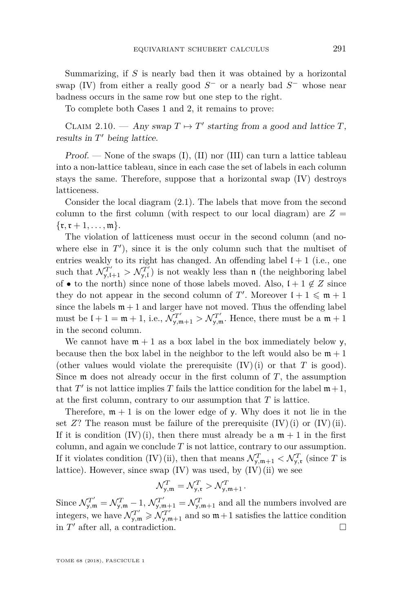Summarizing, if *S* is nearly bad then it was obtained by a horizontal swap [\(IV\)](#page-9-0) from either a really good  $S^-$  or a nearly bad  $S^-$  whose near badness occurs in the same row but one step to the right.

To complete both Cases 1 and 2, it remains to prove:

CLAIM 2.10. — Any swap  $T \mapsto T'$  starting from a good and lattice *T*, results in  $T'$  being lattice.

Proof. — None of the swaps  $(I)$ ,  $(II)$  nor  $(III)$  can turn a lattice tableau into a non-lattice tableau, since in each case the set of labels in each column stays the same. Therefore, suppose that a horizontal swap [\(IV\)](#page-9-0) destroys latticeness.

Consider the local diagram [\(2.1\)](#page-9-5). The labels that move from the second column to the first column (with respect to our local diagram) are  $Z =$  $\{r, r+1, \ldots, m\}.$ 

The violation of latticeness must occur in the second column (and nowhere else in  $T'$ ), since it is the only column such that the multiset of entries weakly to its right has changed. An offending label  $l + 1$  (i.e., one such that  $\mathcal{N}_{y,(1)}^{T'} > \mathcal{N}_{y,(1)}^{T'}$  is not weakly less than n (the neighboring label of • to the north) since none of those labels moved. Also,  $l + 1 \notin \mathbb{Z}$  since they do not appear in the second column of  $T'$ . Moreover  $l + 1 \leq \mathfrak{m} + 1$ since the labels  $m + 1$  and larger have not moved. Thus the offending label must be  $l + 1 = \mathfrak{m} + 1$ , i.e.,  $\mathcal{N}_{y,\mathfrak{m}+1}^{T'} > \mathcal{N}_{y,\mathfrak{m}}^{T'}$ . Hence, there must be a  $\mathfrak{m} + 1$ in the second column.

We cannot have  $m + 1$  as a box label in the box immediately below y, because then the box label in the neighbor to the left would also be  $m + 1$ (other values would violate the prerequisite  $(IV)(i)$  $(IV)(i)$  or that *T* is good). Since  $m$  does not already occur in the first column of  $T$ , the assumption that  $T'$  is not lattice implies  $T$  fails the lattice condition for the label  $m+1$ , at the first column, contrary to our assumption that *T* is lattice.

Therefore,  $m + 1$  is on the lower edge of y. Why does it not lie in the set  $Z$ ? The reason must be failure of the prerequisite  $(IV)(i)$  $(IV)(i)$  or  $(IV)(ii)$ . If it is condition  $(IV)(i)$  $(IV)(i)$ , then there must already be a  $m + 1$  in the first column, and again we conclude *T* is not lattice, contrary to our assumption. If it violates condition [\(IV\)](#page-9-0)[\(ii\),](#page-9-1) then that means  $\mathcal{N}_{y,m+1}^T < \mathcal{N}_{y,r}^T$  (since *T* is lattice). However, since swap  $(IV)$  was used, by  $(IV)(ii)$  $(IV)(ii)$  we see

$$
\mathcal{N}_{\mathbf{y},\mathfrak{m}}^T = \mathcal{N}_{\mathbf{y},\mathfrak{r}}^T > \mathcal{N}_{\mathbf{y},\mathfrak{m}+1}^T.
$$

Since  $\mathcal{N}_{y,m}^{T'} = \mathcal{N}_{y,m}^{T} - 1$ ,  $\mathcal{N}_{y,m+1}^{T'} = \mathcal{N}_{y,m+1}^{T}$  and all the numbers involved are integers, we have  $\mathcal{N}_{y,m}^{T'} \geqslant \mathcal{N}_{y,m+1}^{T'}$  and so  $m+1$  satisfies the lattice condition in  $T'$  after all, a contradiction.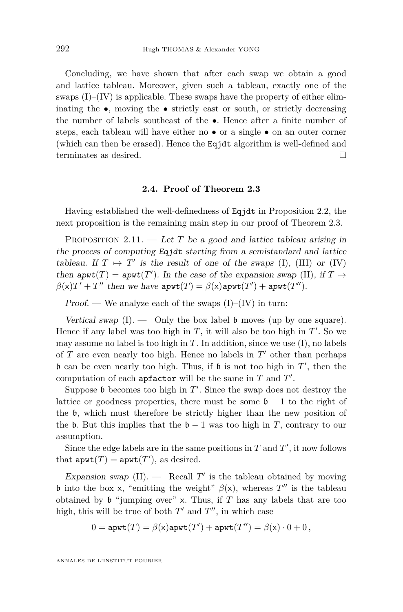Concluding, we have shown that after each swap we obtain a good and lattice tableau. Moreover, given such a tableau, exactly one of the swaps  $(I)$ – $(IV)$  is applicable. These swaps have the property of either eliminating the  $\bullet$ , moving the  $\bullet$  strictly east or south, or strictly decreasing the number of labels southeast of the •. Hence after a finite number of steps, each tableau will have either no • or a single • on an outer corner (which can then be erased). Hence the Eqjdt algorithm is well-defined and terminates as desired.

#### **2.4. Proof of Theorem [2.3](#page-12-1)**

<span id="page-18-0"></span>Having established the well-definedness of Eqjdt in Proposition [2.2,](#page-10-3) the next proposition is the remaining main step in our proof of Theorem [2.3.](#page-12-1)

<span id="page-18-1"></span>PROPOSITION 2.11. — Let *T* be a good and lattice tableau arising in the process of computing Eqjdt starting from a semistandard and lattice tableau. If  $T \mapsto T'$  is the result of one of the swaps [\(I\)](#page-8-0), [\(III\)](#page-8-1) or [\(IV\)](#page-9-0) then  $\text{apwt}(T) = \text{apwt}(T')$ . In the case of the expansion swap [\(II\)](#page-8-2), if  $T \mapsto$  $\beta(x)T' + T''$  then we have  $\text{apwt}(T) = \beta(x)\text{apwt}(T') + \text{apwt}(T'')$ .

Proof. — We analyze each of the swaps  $(I)$ – $(IV)$  in turn:

Vertical swap  $(I)$ .  $\qquad$  Only the box label  $\mathfrak b$  moves (up by one square). Hence if any label was too high in  $T$ , it will also be too high in  $T'$ . So we may assume no label is too high in  $T$ . In addition, since we use  $(I)$ , no labels of  $T$  are even nearly too high. Hence no labels in  $T'$  other than perhaps  $\mathfrak b$  can be even nearly too high. Thus, if  $\mathfrak b$  is not too high in  $T'$ , then the computation of each  $\mathsf{apfactor}$  will be the same in  $T$  and  $T'$ .

Suppose  $\mathfrak b$  becomes too high in  $T'$ . Since the swap does not destroy the lattice or goodness properties, there must be some  $\mathfrak{b} - 1$  to the right of the b, which must therefore be strictly higher than the new position of the b. But this implies that the  $b - 1$  was too high in *T*, contrary to our assumption.

Since the edge labels are in the same positions in  $T$  and  $T'$ , it now follows that  $\texttt{apwt}(T) = \texttt{apwt}(T')$ , as desired.

Expansion swap  $(II)$ .  $-$  Recall  $T'$  is the tableau obtained by moving b into the box x, "emitting the weight"  $\beta(x)$ , whereas  $T''$  is the tableau obtained by  $\mathfrak b$  "jumping over" x. Thus, if  $T$  has any labels that are too high, this will be true of both  $T'$  and  $T''$ , in which case

$$
0 = \mathtt{apwt}(T) = \beta(\mathsf{x}) \mathtt{apwt}(T') + \mathtt{apwt}(T'') = \beta(\mathsf{x}) \cdot 0 + 0\,,
$$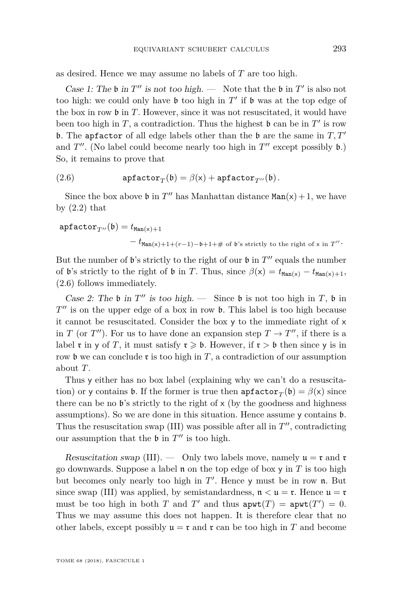as desired. Hence we may assume no labels of *T* are too high.

Case 1: The  $\mathfrak b$  in  $T''$  is not too high. — Note that the  $\mathfrak b$  in  $T'$  is also not too high: we could only have  $\mathfrak b$  too high in  $T'$  if  $\mathfrak b$  was at the top edge of the box in row b in *T*. However, since it was not resuscitated, it would have been too high in  $T$ , a contradiction. Thus the highest  $\mathfrak b$  can be in  $T'$  is row **b.** The apfactor of all edge labels other than the **b** are the same in  $T, T'$ and  $T''$ . (No label could become nearly too high in  $T''$  except possibly  $\mathfrak{b}$ .) So, it remains to prove that

<span id="page-19-0"></span>(2.6) 
$$
\mathbf{apfactor}_T(\mathfrak{b}) = \beta(\mathsf{x}) + \mathbf{apfactor}_{T''}(\mathfrak{b}).
$$

Since the box above  $\mathfrak b$  in  $T''$  has Manhattan distance  $Man(x) + 1$ , we have by  $(2.2)$  that

$$
\begin{aligned} \texttt{apfactor}_{T''}(\mathfrak{b}) &= t_{\texttt{Man}(x)+1} \\ &- t_{\texttt{Man}(x)+1+(r-1)-\mathfrak{b}+1+\# \text{ of }\mathfrak{b}\text{'s strictly to the right of x in } T'' \cdot \end{aligned}
$$

But the number of  $\mathfrak b$ 's strictly to the right of our  $\mathfrak b$  in  $T''$  equals the number of b's strictly to the right of b in *T*. Thus, since  $\beta(x) = t_{\text{Man}(x)} - t_{\text{Man}(x)+1}$ , [\(2.6\)](#page-19-0) follows immediately.

Case 2: The  $\mathfrak b$  in  $T''$  is too high. — Since  $\mathfrak b$  is not too high in  $T$ ,  $\mathfrak b$  in  $T''$  is on the upper edge of a box in row  $\mathfrak b$ . This label is too high because it cannot be resuscitated. Consider the box y to the immediate right of x in *T* (or *T*<sup> $\prime\prime$ </sup>). For us to have done an expansion step  $T \rightarrow T^{\prime\prime}$ , if there is a label **r** in y of *T*, it must satisfy  $r \geq 0$ . However, if  $r > 0$  then since y is in row b we can conclude  $\mathfrak r$  is too high in  $T$ , a contradiction of our assumption about *T*.

Thus y either has no box label (explaining why we can't do a resuscitation) or y contains **b**. If the former is true then  $\text{apfactor}_{T}(\mathfrak{b}) = \beta(\mathsf{x})$  since there can be no  $\mathfrak{b}'$ 's strictly to the right of  $x$  (by the goodness and highness assumptions). So we are done in this situation. Hence assume y contains b. Thus the resuscitation swap  $(III)$  was possible after all in  $T''$ , contradicting our assumption that the  $\mathfrak b$  in  $T''$  is too high.

Resuscitation swap [\(III\)](#page-8-1).  $\qquad$  Only two labels move, namely  $\mathfrak{u} = \mathfrak{r}$  and  $\mathfrak{r}$ go downwards. Suppose a label n on the top edge of box y in *T* is too high but becomes only nearly too high in  $T'$ . Hence y must be in row  $\mathfrak n$ . But since swap [\(III\)](#page-8-1) was applied, by semistandardness,  $n < u = r$ . Hence  $u = r$ must be too high in both *T* and *T'* and thus  $a \text{pwt}(T) = a \text{pwt}(T') = 0$ . Thus we may assume this does not happen. It is therefore clear that no other labels, except possibly  $\mathfrak{u} = \mathfrak{r}$  and  $\mathfrak{r}$  can be too high in *T* and become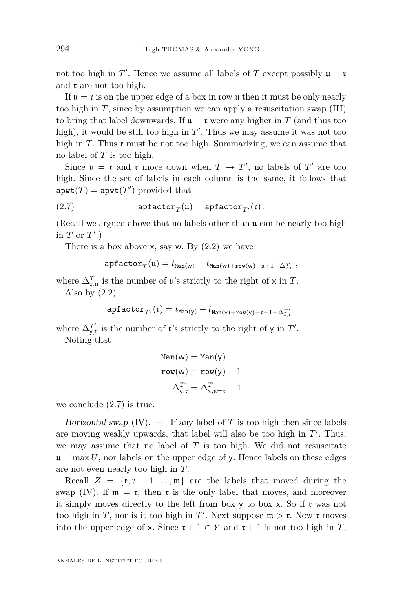not too high in  $T'$ . Hence we assume all labels of  $T$  except possibly  $\mathfrak{u} = \mathfrak{r}$ and  $\mathfrak r$  are not too high.

If  $\mu = \mathfrak{r}$  is on the upper edge of a box in row  $\mu$  then it must be only nearly too high in  $T$ , since by assumption we can apply a resuscitation swap [\(III\)](#page-8-1) to bring that label downwards. If  $\mathfrak{u} = \mathfrak{r}$  were any higher in *T* (and thus too high), it would be still too high in  $T'$ . Thus we may assume it was not too high in  $T$ . Thus  $\mathfrak r$  must be not too high. Summarizing, we can assume that no label of *T* is too high.

Since  $\mathfrak{u} = \mathfrak{r}$  and  $\mathfrak{r}$  move down when  $T \to T'$ , no labels of  $T'$  are too high. Since the set of labels in each column is the same, it follows that  $\text{apwt}(T) = \text{apwt}(T')$  provided that

(2.7) 
$$
apfactor_T(\mathfrak{u}) = apfactor_{T'}(\mathfrak{r}).
$$

(Recall we argued above that no labels other than u can be nearly too high in  $T$  or  $T'$ .)

There is a box above  $x$ , say w. By  $(2.2)$  we have

<span id="page-20-0"></span> $\texttt{apfactor}_{T}(\mathfrak{u})=t_{\texttt{Man}(\mathsf{w})}-t_{\texttt{Man}(\mathsf{w})+\texttt{row}(\mathsf{w})-\mathfrak{u}+1+\Delta^T_{\mathsf{x},\mathfrak{u}}}\,,$ 

where  $\Delta_{\mathsf{x},\mathsf{u}}^T$  is the number of **u**'s strictly to the right of  $\times$  in  $T$ . Also by  $(2.2)$ 

$$
\texttt{apfactor}_{T'}(\mathfrak{r}) = t_{\texttt{Man}(y)} - t_{\texttt{Man}(y) + \texttt{row}(y) - \mathfrak{r} + 1 + \Delta^{T'}_{y, \mathfrak{r}}}.
$$

where  $\Delta^{T'}_{y,r}$  is the number of **r**'s strictly to the right of y in  $T'$ . Noting that

$$
Man(w) = Man(y)
$$

$$
row(w) = row(y) - 1
$$

$$
\Delta_{y,\mathfrak{r}}^{T'} = \Delta_{x,\mathfrak{u}=\mathfrak{r}}^{T} - 1
$$

we conclude [\(2.7\)](#page-20-0) is true.

Horizontal swap  $(IV)$ .  $-$  If any label of *T* is too high then since labels are moving weakly upwards, that label will also be too high in  $T'$ . Thus, we may assume that no label of  $T$  is too high. We did not resuscitate  $\mathfrak{u} = \max U$ , nor labels on the upper edge of y. Hence labels on these edges are not even nearly too high in *T*.

Recall  $Z = \{r, r + 1, \ldots, m\}$  are the labels that moved during the swap [\(IV\)](#page-9-0). If  $\mathfrak{m} = \mathfrak{r}$ , then  $\mathfrak{r}$  is the only label that moves, and moreover it simply moves directly to the left from box y to box x. So if  $\mathfrak{r}$  was not too high in *T*, nor is it too high in *T'*. Next suppose  $m > r$ . Now r moves into the upper edge of x. Since  $\mathfrak{r} + 1 \in Y$  and  $\mathfrak{r} + 1$  is not too high in *T*,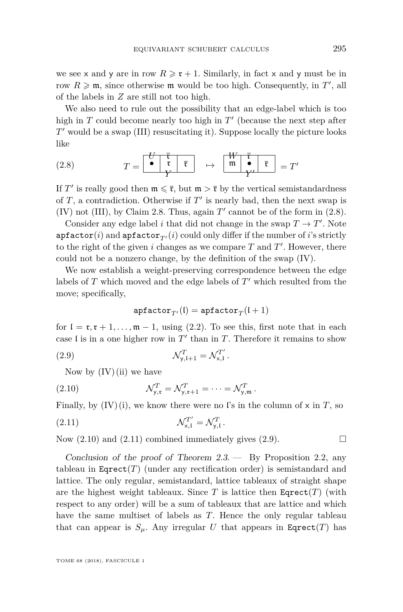we see x and y are in row  $R \geq \mathfrak{r} + 1$ . Similarly, in fact x and y must be in row  $R \geqslant$  m, since otherwise m would be too high. Consequently, in  $T'$ , all of the labels in *Z* are still not too high.

We also need to rule out the possibility that an edge-label which is too high in  $T$  could become nearly too high in  $T'$  (because the next step after *T*<sup> $T'$ </sup> would be a swap [\(III\)](#page-8-1) resuscitating it). Suppose locally the picture looks like

<span id="page-21-0"></span>
$$
(2.8) \tT = \begin{array}{c|c} U & \overline{\overline{\mathfrak{r}}} \\ \hline \mathfrak{r} & \overline{\overline{\mathfrak{r}}} \\ Y \end{array} \mapsto \begin{array}{c|c} W & \overline{\overline{\mathfrak{r}}} \\ \hline \mathfrak{m} & \bullet \\ Y \end{array} = T'
$$

If  $T'$  is really good then  $\mathfrak{m} \leq \bar{\mathfrak{r}}$ , but  $\mathfrak{m} > \bar{\mathfrak{r}}$  by the vertical semistandardness of  $T$ , a contradiction. Otherwise if  $T'$  is nearly bad, then the next swap is [\(IV\)](#page-9-0) not [\(III\)](#page-8-1), by Claim [2.8.](#page-15-0) Thus, again  $T'$  cannot be of the form in  $(2.8)$ .

Consider any edge label *i* that did not change in the swap  $T \to T'$ . Note apfactor(*i*) and apfactor<sub>T'</sub>(*i*) could only differ if the number of *i*'s strictly to the right of the given  $i$  changes as we compare  $T$  and  $T'$ . However, there could not be a nonzero change, by the definition of the swap [\(IV\)](#page-9-0).

We now establish a weight-preserving correspondence between the edge labels of  $T$  which moved and the edge labels of  $T'$  which resulted from the move; specifically,

<span id="page-21-3"></span><span id="page-21-2"></span><span id="page-21-1"></span>
$$
\texttt{apfactor}_{T'}(\mathfrak{l}) = \texttt{apfactor}_T(\mathfrak{l}+1)
$$

for  $\mathfrak{l} = \mathfrak{r}, \mathfrak{r} + 1, \ldots, \mathfrak{m} - 1$ , using [\(2.2\)](#page-11-2). To see this, first note that in each case I is in a one higher row in  $T'$  than in  $T$ . Therefore it remains to show

(2.9) 
$$
\mathcal{N}_{y,\mathfrak{l}+1}^T = \mathcal{N}_{x,\mathfrak{l}}^{T'}.
$$

Now by  $(IV)(ii)$  $(IV)(ii)$  we have

(2.10) 
$$
\mathcal{N}_{y,\mathfrak{r}}^T = \mathcal{N}_{y,\mathfrak{r}+1}^T = \cdots = \mathcal{N}_{y,\mathfrak{m}}^T.
$$

Finally, by  $(IV)(i)$  $(IV)(i)$ , we know there were no l's in the column of x in T, so

$$
\mathcal{N}_{\mathbf{x},\mathfrak{l}}^{T'} = \mathcal{N}_{\mathbf{y},\mathfrak{l}}^{T}.
$$

Now  $(2.10)$  and  $(2.11)$  combined immediately gives  $(2.9)$ .

Conclusion of the proof of Theorem  $2.3$ . — By Proposition [2.2,](#page-10-3) any tableau in  $\text{Eqrect}(T)$  (under any rectification order) is semistandard and lattice. The only regular, semistandard, lattice tableaux of straight shape are the highest weight tableaux. Since  $T$  is lattice then  $\text{E਼}(T)$  (with respect to any order) will be a sum of tableaux that are lattice and which have the same multiset of labels as *T*. Hence the only regular tableau that can appear is  $S_\mu$ . Any irregular U that appears in Eqrect(T) has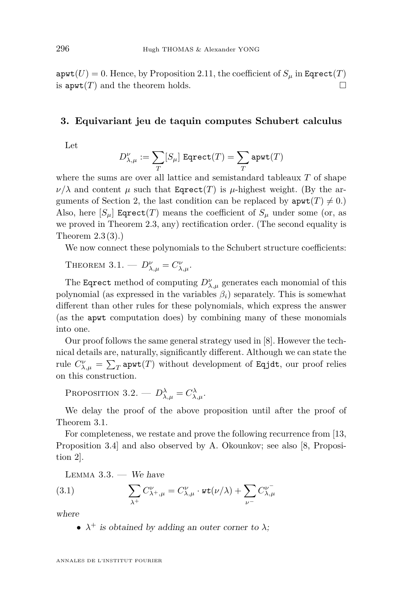$a$ pwt $(U) = 0$ . Hence, by Proposition [2.11,](#page-18-1) the coefficient of  $S_\mu$  in Eqrect $(T)$ is  $\text{apwt}(T)$  and the theorem holds.

#### <span id="page-22-0"></span>**3. Equivariant jeu de taquin computes Schubert calculus**

Let

$$
D_{\lambda,\mu}^{\nu}:=\sum_{T}[S_{\mu}]~\mathtt{Eqrect}(T)=\sum_{T}\mathtt{apwt}(T)
$$

where the sums are over all lattice and semistandard tableaux *T* of shape  $\nu/\lambda$  and content  $\mu$  such that Eqrect(*T*) is  $\mu$ -highest weight. (By the ar-guments of Section [2,](#page-7-0) the last condition can be replaced by  $\text{apwt}(T) \neq 0$ .) Also, here  $[S_\mu]$  Eqrect(*T*) means the coefficient of  $S_\mu$  under some (or, as we proved in Theorem [2.3,](#page-12-1) any) rectification order. (The second equality is Theorem [2.3](#page-12-1)[\(3\)](#page-12-3).)

We now connect these polynomials to the Schubert structure coefficients:

<span id="page-22-1"></span>THEOREM  $3.1. - D_{\lambda,\mu}^{\nu} = C_{\lambda,\mu}^{\nu}$ .

The Eqrect method of computing  $D^{\nu}_{\lambda,\mu}$  generates each monomial of this polynomial (as expressed in the variables  $\beta_i$ ) separately. This is somewhat different than other rules for these polynomials, which express the answer (as the apwt computation does) by combining many of these monomials into one.

Our proof follows the same general strategy used in [\[8\]](#page-43-1). However the technical details are, naturally, significantly different. Although we can state the rule  $C_{\lambda,\mu}^{\nu} = \sum_{T} \texttt{apwt}(T)$  without development of Eqjdt, our proof relies on this construction.

<span id="page-22-2"></span>PROPOSITION 3.2. —  $D^{\lambda}_{\lambda,\mu} = C^{\lambda}_{\lambda,\mu}$ .

We delay the proof of the above proposition until after the proof of Theorem [3.1.](#page-22-1)

For completeness, we restate and prove the following recurrence from [\[13,](#page-43-7) Proposition 3.4] and also observed by A. Okounkov; see also [\[8,](#page-43-1) Proposition 2].

<span id="page-22-3"></span>LEMMA  $3.3.$  — We have

(3.1) 
$$
\sum_{\lambda^+} C_{\lambda^+, \mu}^{\nu} = C_{\lambda, \mu}^{\nu} \cdot \text{wt}(\nu/\lambda) + \sum_{\nu^-} C_{\lambda, \mu}^{\nu^-}
$$

where

•  $\lambda^+$  is obtained by adding an outer corner to  $\lambda$ ;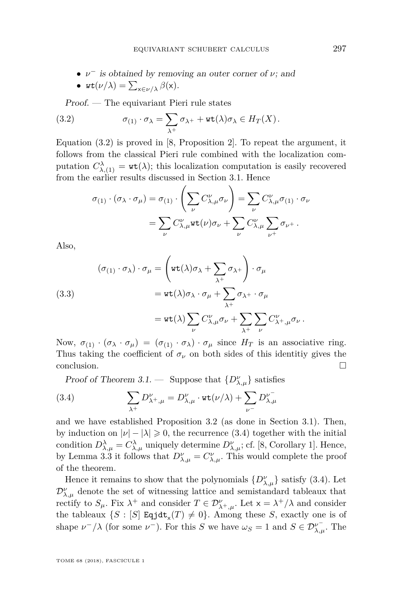• *ν* <sup>−</sup> is obtained by removing an outer corner of *ν*; and

<span id="page-23-0"></span>• 
$$
\text{wt}(\nu/\lambda)=\sum_{\mathsf{x}\in\nu/\lambda}\beta(\mathsf{x}).
$$

Proof. — The equivariant Pieri rule states

(3.2) 
$$
\sigma_{(1)} \cdot \sigma_{\lambda} = \sum_{\lambda^{+}} \sigma_{\lambda^{+}} + \text{wt}(\lambda) \sigma_{\lambda} \in H_{T}(X).
$$

Equation [\(3.2\)](#page-23-0) is proved in [\[8,](#page-43-1) Proposition 2]. To repeat the argument, it follows from the classical Pieri rule combined with the localization computation  $C^{\lambda}_{\lambda,(1)} = \text{wt}(\lambda)$ ; this localization computation is easily recovered from the earlier results discussed in Section [3.1.](#page-31-0) Hence

$$
\sigma_{(1)} \cdot (\sigma_{\lambda} \cdot \sigma_{\mu}) = \sigma_{(1)} \cdot \left( \sum_{\nu} C_{\lambda,\mu}^{\nu} \sigma_{\nu} \right) = \sum_{\nu} C_{\lambda,\mu}^{\nu} \sigma_{(1)} \cdot \sigma_{\nu}
$$

$$
= \sum_{\nu} C_{\lambda,\mu}^{\nu} \text{wt}(\nu) \sigma_{\nu} + \sum_{\nu} C_{\lambda,\mu}^{\nu} \sum_{\nu^{+}} \sigma_{\nu^{+}}.
$$

Also,

(3.3)  
\n
$$
(\sigma_{(1)} \cdot \sigma_{\lambda}) \cdot \sigma_{\mu} = \left(\text{wt}(\lambda)\sigma_{\lambda} + \sum_{\lambda^{+}} \sigma_{\lambda^{+}}\right) \cdot \sigma_{\mu}
$$
\n
$$
= \text{wt}(\lambda)\sigma_{\lambda} \cdot \sigma_{\mu} + \sum_{\lambda^{+}} \sigma_{\lambda^{+}} \cdot \sigma_{\mu}
$$
\n
$$
= \text{wt}(\lambda) \sum_{\nu} C_{\lambda,\mu}^{\nu} \sigma_{\nu} + \sum_{\lambda^{+}} \sum_{\nu} C_{\lambda^{+},\mu}^{\nu} \sigma_{\nu}.
$$

Now,  $\sigma_{(1)} \cdot (\sigma_{\lambda} \cdot \sigma_{\mu}) = (\sigma_{(1)} \cdot \sigma_{\lambda}) \cdot \sigma_{\mu}$  since  $H_T$  is an associative ring. Thus taking the coefficient of  $\sigma_{\nu}$  on both sides of this identitiy gives the  $\Box$ conclusion.

<span id="page-23-1"></span>Proof of Theorem [3.1.](#page-22-1) — Suppose that  $\{D^{\nu}_{\lambda,\mu}\}$  satisfies

(3.4) 
$$
\sum_{\lambda^+} D^{\nu}_{\lambda^+, \mu} = D^{\nu}_{\lambda, \mu} \cdot \text{wt}(\nu/\lambda) + \sum_{\nu^-} D^{\nu^-}_{\lambda, \mu}
$$

and we have established Proposition [3.2](#page-22-2) (as done in Section [3.1\)](#page-31-0). Then, by induction on  $|\nu| - |\lambda| \geq 0$ , the recurrence [\(3.4\)](#page-23-1) together with the initial condition  $D^{\lambda}_{\lambda,\mu} = C^{\lambda}_{\lambda,\mu}$  uniquely determine  $D^{\nu}_{\lambda,\mu}$ ; cf. [\[8,](#page-43-1) Corollary 1]. Hence, by Lemma [3.3](#page-22-3) it follows that  $D^{\nu}_{\lambda,\mu} = C^{\nu}_{\lambda,\mu}$ . This would complete the proof of the theorem.

Hence it remains to show that the polynomials  $\{D^{\nu}_{\lambda,\mu}\}$  satisfy [\(3.4\)](#page-23-1). Let  $\mathcal{D}^{\nu}_{\lambda,\mu}$  denote the set of witnessing lattice and semistandard tableaux that rectify to  $S_\mu$ . Fix  $\lambda^+$  and consider  $T \in \mathcal{D}_{\lambda^+,\mu}^\nu$ . Let  $x = \lambda^+/\lambda$  and consider the tableaux  $\{S : [S]$  Eqjdt<sub>x</sub> $(T) \neq 0\}$ . Among these *S*, exactly one is of shape  $\nu^{-}/\lambda$  (for some  $\nu^{-}$ ). For this *S* we have  $\omega_{S} = 1$  and  $S \in \mathcal{D}_{\lambda,\mu}^{\nu^{-}}$ . The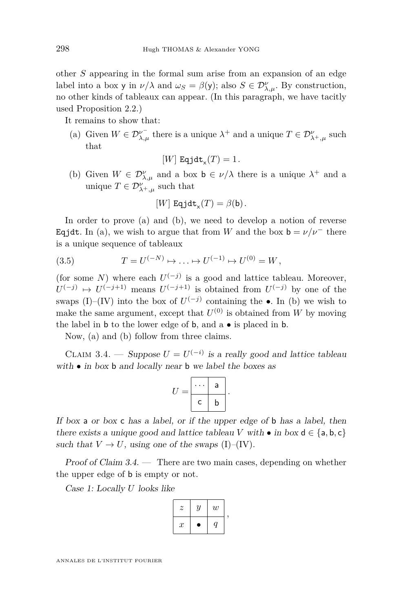other *S* appearing in the formal sum arise from an expansion of an edge label into a box y in  $\nu/\lambda$  and  $\omega_S = \beta(y)$ ; also  $S \in \mathcal{D}_{\lambda,\mu}^{\nu}$ . By construction, no other kinds of tableaux can appear. (In this paragraph, we have tacitly used Proposition [2.2.](#page-10-3))

<span id="page-24-0"></span>It remains to show that:

(a) Given  $W \in \mathcal{D}_{\lambda,\mu}^{\nu^-}$  there is a unique  $\lambda^+$  and a unique  $T \in \mathcal{D}_{\lambda^+,\mu}^{\nu}$  such that

$$
[W] \ \text{Eqjdt}_{\mathsf{x}}(T) = 1.
$$

<span id="page-24-1"></span>(b) Given  $W \in \mathcal{D}_{\lambda,\mu}^{\nu}$  and a box  $\mathbf{b} \in \nu/\lambda$  there is a unique  $\lambda^{+}$  and a unique  $T \in \mathcal{D}_{\lambda^+, \mu}^{\nu}$  such that

<span id="page-24-3"></span>
$$
[W] \ \text{Eqjdt}_{\mathbf{x}}(T) = \beta(\mathbf{b}).
$$

In order to prove [\(a\)](#page-24-0) and [\(b\)](#page-24-1), we need to develop a notion of reverse Eqjdt. In [\(a\)](#page-24-0), we wish to argue that from *W* and the box  $b = \nu/\nu^-$  there is a unique sequence of tableaux

(3.5) 
$$
T = U^{(-N)} \mapsto \ldots \mapsto U^{(-1)} \mapsto U^{(0)} = W,
$$

(for some *N*) where each  $U^{(-j)}$  is a good and lattice tableau. Moreover,  $U^{(-j)} \mapsto U^{(-j+1)}$  means  $U^{(-j+1)}$  is obtained from  $U^{(-j)}$  by one of the swaps [\(I\)](#page-8-0)–[\(IV\)](#page-9-0) into the box of  $U^{(-j)}$  containing the •. In [\(b\)](#page-24-1) we wish to make the same argument, except that  $U^{(0)}$  is obtained from *W* by moving the label in b to the lower edge of b, and a • is placed in b.

Now, [\(a\)](#page-24-0) and [\(b\)](#page-24-1) follow from three claims.

<span id="page-24-2"></span>CLAIM 3.4. — Suppose  $U = U^{(-i)}$  is a really good and lattice tableau with  $\bullet$  in box  $\bullet$  and locally near  $\bullet$  we label the boxes as

$$
U=\begin{array}{|c|c|}\n\cdots & a \\
\hline\nc & b\n\end{array}.
$$

If box a or box c has a label, or if the upper edge of b has a label, then there exists a unique good and lattice tableau *V* with  $\bullet$  in box  $d \in \{a, b, c\}$ such that  $V \to U$ , using one of the swaps [\(I\)](#page-8-0)–[\(IV\)](#page-9-0).

Proof of Claim [3.4.](#page-24-2) — There are two main cases, depending on whether the upper edge of b is empty or not.

Case 1: Locally *U* looks like

| z                | $\boldsymbol{y}$ | $\boldsymbol{w}$ |  |
|------------------|------------------|------------------|--|
| $\boldsymbol{x}$ |                  |                  |  |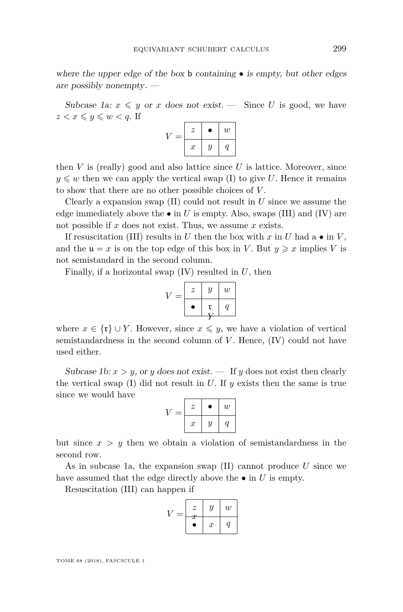where the upper edge of the box **b** containing  $\bullet$  is empty, but other edges are possibly nonempty. —

Subcase 1a:  $x \leq y$  or *x* does not exist. — Since *U* is good, we have  $z < x \leqslant y \leqslant w < q$ . If

| = | $\boldsymbol{z}$ | ٠                | w |
|---|------------------|------------------|---|
|   | $\boldsymbol{x}$ | $\boldsymbol{y}$ | a |

then  $V$  is (really) good and also lattice since  $U$  is lattice. Moreover, since  $y \leq w$  then we can apply the vertical swap [\(I\)](#page-8-0) to give *U*. Hence it remains to show that there are no other possible choices of *V* .

Clearly a expansion swap [\(II\)](#page-8-2) could not result in *U* since we assume the edge immediately above the  $\bullet$  in  $U$  is empty. Also, swaps [\(III\)](#page-8-1) and [\(IV\)](#page-9-0) are not possible if *x* does not exist. Thus, we assume *x* exists.

If resuscitation [\(III\)](#page-8-1) results in *U* then the box with  $x$  in  $U$  had a  $\bullet$  in  $V$ , and the  $u = x$  is on the top edge of this box in *V*. But  $y \geq x$  implies *V* is not semistandard in the second column.

Finally, if a horizontal swap [\(IV\)](#page-9-0) resulted in *U*, then

$$
V = \begin{array}{|c|c|} \hline z & y & w \\ \hline \bullet & \mathfrak{r} & q \\ \hline Y & \end{array}
$$

where  $x \in \{\mathfrak{r}\} \cup Y$ . However, since  $x \leq y$ , we have a violation of vertical semistandardness in the second column of *V* . Hence, [\(IV\)](#page-9-0) could not have used either.

Subcase 1b:  $x > y$ , or *y* does not exist. — If *y* does not exist then clearly the vertical swap  $(I)$  did not result in  $U$ . If  $y$  exists then the same is true since we would have

<span id="page-25-0"></span>

| = | z                | ٠ | $\boldsymbol{w}$ |
|---|------------------|---|------------------|
|   | $\boldsymbol{x}$ | Y | (1               |

but since  $x > y$  then we obtain a violation of semistandardness in the second row.

As in subcase 1a, the expansion swap [\(II\)](#page-8-2) cannot produce *U* since we have assumed that the edge directly above the  $\bullet$  in *U* is empty.

Resuscitation [\(III\)](#page-8-1) can happen if

$$
V = \begin{array}{|c|c|c|} \hline z & y & w \\ \hline x & x & q \\ \hline \end{array}
$$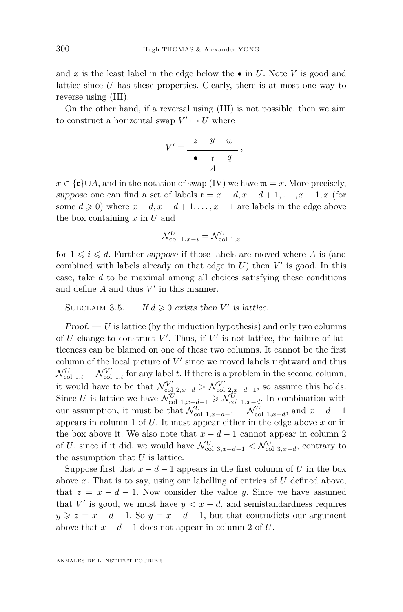and x is the least label in the edge below the  $\bullet$  in U. Note V is good and lattice since *U* has these properties. Clearly, there is at most one way to reverse using [\(III\)](#page-8-1).

On the other hand, if a reversal using [\(III\)](#page-8-1) is not possible, then we aim to construct a horizontal swap  $V' \mapsto U$  where

$$
V' = \begin{array}{|c|c|c|} \hline z & y & w \\ \hline \bullet & \mathfrak{r} & q \\ \hline A & \end{array},
$$

 $x \in \{r\} \cup A$ , and in the notation of swap [\(IV\)](#page-9-0) we have  $\mathfrak{m} = x$ . More precisely, suppose one can find a set of labels  $\mathfrak{r} = x - d, x - d + 1, \ldots, x - 1, x$  (for some  $d \geq 0$ ) where  $x - d, x - d + 1, \ldots, x - 1$  are labels in the edge above the box containing *x* in *U* and

$$
\mathcal{N}_{\text{col 1},x-i}^U = \mathcal{N}_{\text{col 1},x}^U
$$

for  $1 \leq i \leq d$ . Further suppose if those labels are moved where A is (and combined with labels already on that edge in  $U$ ) then  $V'$  is good. In this case, take *d* to be maximal among all choices satisfying these conditions and define  $A$  and thus  $V'$  in this manner.

SUBCLAIM 3.5.  $\blacksquare$  If  $d \geq 0$  exists then *V'* is lattice.

 $Proof. - U$  is lattice (by the induction hypothesis) and only two columns of  $U$  change to construct  $V'$ . Thus, if  $V'$  is not lattice, the failure of latticeness can be blamed on one of these two columns. It cannot be the first column of the local picture of  $V'$  since we moved labels rightward and thus  $\mathcal{N}_{\rm col\ 1,t}^U = \mathcal{N}_{\rm col\ 1,t}^{V'}$  for any label *t*. If there is a problem in the second column, it would have to be that  $\mathcal{N}_{\text{col } 2,x-d}^{V'} > \mathcal{N}_{\text{col } 2,x-d-1}^{V'}$ , so assume this holds. Since *U* is lattice we have  $\mathcal{N}_{\text{col 1},x-d-1}^U \geq \mathcal{N}_{\text{col 1},x-d}^U$ . In combination with our assumption, it must be that  $\mathcal{N}_{\text{col 1},x-d-1}^U = \mathcal{N}_{\text{col 1},x-d}^U$ , and  $x - d - 1$ appears in column 1 of *U*. It must appear either in the edge above *x* or in the box above it. We also note that  $x - d - 1$  cannot appear in column 2 of *U*, since if it did, we would have  $\mathcal{N}_{\text{col }3,x-d-1}^U < \mathcal{N}_{\text{col }3,x-d}^U$ , contrary to the assumption that *U* is lattice.

Suppose first that  $x - d - 1$  appears in the first column of *U* in the box above *x*. That is to say, using our labelling of entries of *U* defined above, that  $z = x - d - 1$ . Now consider the value *y*. Since we have assumed that *V'* is good, we must have  $y < x - d$ , and semistandardness requires  $y \ge z = x - d - 1$ . So  $y = x - d - 1$ , but that contradicts our argument above that  $x - d - 1$  does not appear in column 2 of *U*.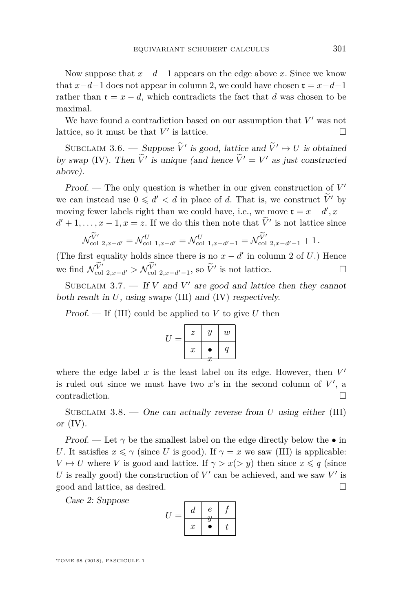Now suppose that  $x - d - 1$  appears on the edge above x. Since we know that  $x-d-1$  does not appear in column 2, we could have chosen  $\mathfrak{r} = x-d-1$ rather than  $\mathfrak{r} = x - d$ , which contradicts the fact that *d* was chosen to be maximal.

We have found a contradiction based on our assumption that  $V'$  was not lattice, so it must be that  $V'$  is lattice.

SUBCLAIM 3.6. — Suppose  $\widetilde{V}'$  is good, lattice and  $\widetilde{V}' \mapsto U$  is obtained by swap [\(IV\)](#page-9-0). Then  $V'$  is unique (and hence  $V' = V'$  as just constructed above).

Proof.  $-$  The only question is whether in our given construction of  $V'$ we can instead use  $0 \le d' < d$  in place of *d*. That is, we construct  $\widetilde{V}'$  by moving fewer labels right than we could have, i.e., we move  $\mathfrak{r} = x - d'$ ,  $x - d$  $d' + 1, \ldots, x - 1, x = z$ . If we do this then note that  $\hat{V}'$  is not lattice since

$$
\mathcal{N}_{\text{col 2},x-d'}^{\widetilde{V}'} = \mathcal{N}_{\text{col 1},x-d'}^U = \mathcal{N}_{\text{col 1},x-d'-1}^U = \mathcal{N}_{\text{col 2},x-d'-1}^{\widetilde{V}'} + 1.
$$

(The first equality holds since there is no  $x - d'$  in column 2 of *U*.) Hence we find  $\mathcal{N}_{\text{col 2},x-d'}^{V'} > \mathcal{N}_{\text{col 2},x-d'-1}^{V'}$ , so  $\tilde{V}'$  is not lattice. □

SUBCLAIM  $3.7.$  – If *V* and *V'* are good and lattice then they cannot both result in *U*, using swaps [\(III\)](#page-8-1) and [\(IV\)](#page-9-0) respectively.

Proof.  $\mathcal{F}$  If [\(III\)](#page-8-1) could be applied to *V* to give *U* then

$$
U = \begin{array}{|c|c|c|} \hline z & y & w \\ \hline x & \bullet & q \\ \hline x & x & \end{array}
$$

where the edge label  $x$  is the least label on its edge. However, then  $V'$ is ruled out since we must have two  $x$ 's in the second column of  $V'$ , a contradiction.

SUBCLAIM 3.8. — One can actually reverse from *U* using either [\(III\)](#page-8-1) or  $(IV)$ .

Proof. — Let  $\gamma$  be the smallest label on the edge directly below the  $\bullet$  in *U*. It satisfies  $x \le \gamma$  (since *U* is good). If  $\gamma = x$  we saw (III) is applicable: *V*  $\mapsto U$  where *V* is good and lattice. If  $\gamma > x$  (*> y*) then since  $x \leq q$  (since U is really good) the construction of  $V'$  can be achieved, and we saw  $V'$  is good and lattice, as desired.

Case 2: Suppose

$$
U = \begin{array}{|c|c|c|} \hline d & e & f \\ \hline x & \bullet & t \\ \hline \end{array}
$$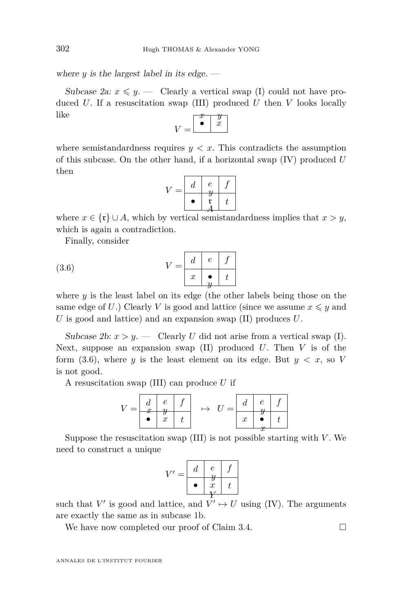where  $y$  is the largest label in its edge.  $-$ 

Subcase 2a:  $x \leq y$ . — Clearly a vertical swap [\(I\)](#page-8-0) could not have produced *U*. If a resuscitation swap [\(III\)](#page-8-1) produced *U* then *V* looks locally like  $\overline{x+y}$ 

$$
V = \begin{bmatrix} x & y \\ \bullet & x \end{bmatrix}
$$

where semistandardness requires  $y < x$ . This contradicts the assumption of this subcase. On the other hand, if a horizontal swap [\(IV\)](#page-9-0) produced *U* then

<span id="page-28-0"></span>
$$
V = \begin{array}{|c|c|c|} \hline d & e & f \\ \hline \bullet & \mathfrak{r} & t \\ \hline \bullet & A & \end{array}
$$

where  $x \in {\{\mathfrak{r}\}} \cup A$ , which by vertical semistandardness implies that  $x > y$ , which is again a contradiction.

Finally, consider

$$
(3.6) \t\t V = \begin{array}{|c|c|c|c|} d & e & f \\ \hline x & \bullet & t \\ y & \end{array}
$$

where  $y$  is the least label on its edge (the other labels being those on the same edge of U.) Clearly V is good and lattice (since we assume  $x \leq y$  and *U* is good and lattice) and an expansion swap [\(II\)](#page-8-2) produces *U*.

Subcase 2b:  $x > y$ . — Clearly *U* did not arise from a vertical swap [\(I\)](#page-8-0). Next, suppose an expansion swap [\(II\)](#page-8-2) produced *U*. Then *V* is of the form  $(3.6)$ , where *y* is the least element on its edge. But  $y < x$ , so *V* is not good.

A resuscitation swap [\(III\)](#page-8-1) can produce *U* if

$$
V = \begin{array}{|c|c|c|c|c|} \hline d & e & f \\ \hline x & y & & \\ \hline \bullet & x & t \\ \hline \end{array} \quad \mapsto \quad U = \begin{array}{|c|c|} \hline d & e & f \\ \hline x & y & & \\ \hline x & \bullet & t \\ \hline \end{array}
$$

Suppose the resuscitation swap  $(III)$  is not possible starting with  $V$ . We need to construct a unique

$$
V' = \begin{array}{|c|c|c|} \hline d & e & f \\ \hline \bullet & x & t \\ Y & Y & \end{array}
$$

such that  $V'$  is good and lattice, and  $V' \mapsto U$  using [\(IV\)](#page-9-0). The arguments are exactly the same as in subcase [1b.](#page-25-0)

We have now completed our proof of Claim [3.4.](#page-24-2)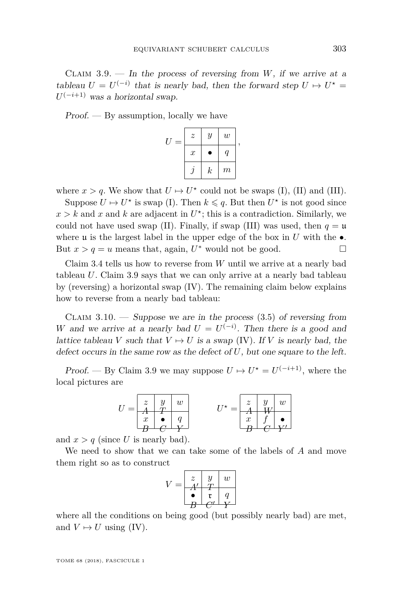<span id="page-29-0"></span>CLAIM  $3.9.$  — In the process of reversing from *W*, if we arrive at a tableau  $U = U^{(-i)}$  that is nearly bad, then the forward step  $U \mapsto U^* =$  $U^{(-i+1)}$  was a horizontal swap.

 $Proof.$  — By assumption, locally we have

| $\boldsymbol{z}$ | $\boldsymbol{y}$ | w                |  |
|------------------|------------------|------------------|--|
| $\boldsymbol{x}$ |                  | $\boldsymbol{q}$ |  |
|                  | $_{k}$           | $\boldsymbol{m}$ |  |

where  $x > q$ . We show that  $U \mapsto U^*$  could not be swaps [\(I\)](#page-8-0), [\(II\)](#page-8-2) and [\(III\)](#page-8-1).

Suppose  $U \mapsto U^*$  is swap [\(I\)](#page-8-0). Then  $k \leq q$ . But then  $U^*$  is not good since  $x > k$  and *x* and *k* are adjacent in  $U^*$ ; this is a contradiction. Similarly, we could not have used swap [\(II\)](#page-8-2). Finally, if swap [\(III\)](#page-8-1) was used, then  $q = u$ where **u** is the largest label in the upper edge of the box in  $U$  with the  $\bullet$ . But  $x > q = u$  means that, again,  $U^*$  would not be good.

Claim [3.4](#page-24-2) tells us how to reverse from *W* until we arrive at a nearly bad tableau *U*. Claim [3.9](#page-29-0) says that we can only arrive at a nearly bad tableau by (reversing) a horizontal swap [\(IV\)](#page-9-0). The remaining claim below explains how to reverse from a nearly bad tableau:

<span id="page-29-1"></span>CLAIM  $3.10.$  — Suppose we are in the process  $(3.5)$  of reversing from *W* and we arrive at a nearly bad  $U = U^{(-i)}$ . Then there is a good and lattice tableau *V* such that  $V \mapsto U$  is a swap [\(IV\)](#page-9-0). If *V* is nearly bad, the defect occurs in the same row as the defect of *U*, but one square to the left.

Proof. — By Claim [3.9](#page-29-0) we may suppose  $U \mapsto U^* = U^{(-i+1)}$ , where the local pictures are

$$
U = \begin{array}{|c|c|c|c|} \hline z & y & w \\ A & T & q \\ x & \bullet & q \\ B & C & Y \\ \hline \end{array} \hspace{1cm} U^{\star} = \begin{array}{|c|c|} \hline z & y & w \\ A & W & \\ x & f & \bullet \\ B & C & Y \\ \hline \end{array}
$$

and  $x > q$  (since U is nearly bad).

We need to show that we can take some of the labels of *A* and move them right so as to construct

$$
V = \begin{array}{|c|c|} \hline z & y & w \\ \hline A' & T & q \\ \hline \bullet & \mathfrak{r} & q \\ B & C' & Y \\ \hline \end{array}
$$

where all the conditions on being good (but possibly nearly bad) are met, and  $V \mapsto U$  using [\(IV\)](#page-9-0).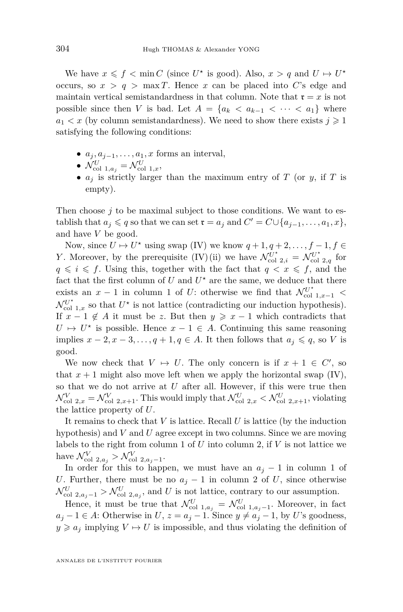We have  $x \leq f < \min C$  (since  $U^*$  is good). Also,  $x > q$  and  $U \mapsto U^*$ occurs, so  $x > q$  > max *T*. Hence *x* can be placed into *C*'s edge and maintain vertical semistandardness in that column. Note that  $\mathfrak{r} = x$  is not possible since then *V* is bad. Let  $A = \{a_k \le a_{k-1} \le \cdots \le a_1\}$  where  $a_1 < x$  (by column semistandardness). We need to show there exists  $j \geq 1$ satisfying the following conditions:

- $a_j, a_{j-1}, \ldots, a_1, x$  forms an interval,
- $\mathcal{N}_{\text{col 1},a_j}^U = \mathcal{N}_{\text{col 1},x}^U,$
- $a_j$  is strictly larger than the maximum entry of *T* (or *y*, if *T* is empty).

Then choose  $j$  to be maximal subject to those conditions. We want to establish that  $a_j \leq q$  so that we can set  $\mathfrak{r} = a_j$  and  $C' = C \cup \{a_{j-1}, \ldots, a_1, x\}$ , and have *V* be good.

Now, since  $U \mapsto U^*$  using swap [\(IV\)](#page-9-0) we know  $q+1, q+2, \ldots, f-1, f \in$ *Y*. Moreover, by the prerequisite [\(IV\)](#page-9-0)[\(ii\)](#page-9-1) we have  $\mathcal{N}_{\text{col } 2,i}^{U^*} = \mathcal{N}_{\text{col } 2,q}^{U^*}$  for  $q \leq i \leq f$ . Using this, together with the fact that  $q < x \leq f$ , and the fact that the first column of  $U$  and  $U^*$  are the same, we deduce that there exists an  $x - 1$  in column 1 of *U*: otherwise we find that  $\mathcal{N}_{\text{col}}^{U^*}$ <sub>1, $x-1$ </sub> <  $\mathcal{N}_{\text{col 1},x}^{U^*}$  so that  $U^*$  is not lattice (contradicting our induction hypothesis). If  $x - 1 \notin A$  it must be *z*. But then  $y \geq x - 1$  which contradicts that  $U \mapsto U^*$  is possible. Hence  $x - 1 \in A$ . Continuing this same reasoning implies  $x - 2, x - 3, \ldots, q + 1, q \in A$ . It then follows that  $a_j \leq q$ , so *V* is good.

We now check that  $V \mapsto U$ . The only concern is if  $x + 1 \in C'$ , so that  $x + 1$  might also move left when we apply the horizontal swap [\(IV\)](#page-9-0), so that we do not arrive at *U* after all. However, if this were true then  $\mathcal{N}_{\text{col } 2,x}^V = \mathcal{N}_{\text{col } 2,x+1}^V$ . This would imply that  $\mathcal{N}_{\text{col } 2,x}^U < \mathcal{N}_{\text{col } 2,x+1}^U$ , violating the lattice property of *U*.

It remains to check that *V* is lattice. Recall *U* is lattice (by the induction hypothesis) and *V* and *U* agree except in two columns. Since we are moving labels to the right from column 1 of *U* into column 2, if *V* is not lattice we have  $\mathcal{N}_{\text{col } 2, a_j}^V > \mathcal{N}_{\text{col } 2, a_{j-1}}^V$ .

In order for this to happen, we must have an  $a_j - 1$  in column 1 of *U*. Further, there must be no  $a_j - 1$  in column 2 of *U*, since otherwise  $\mathcal{N}_{\text{col }2,a_j-1}^U > \mathcal{N}_{\text{col }2,a_j}^U$ , and *U* is not lattice, contrary to our assumption.

Hence, it must be true that  $\mathcal{N}_{\text{col 1},a_j}^U = \mathcal{N}_{\text{col 1},a_{j-1}}^U$ . Moreover, in fact *a*<sub>*j*</sub> − 1 ∈ *A*: Otherwise in *U*,  $z = a_j - 1$ . Since  $y \neq a_j - 1$ , by *U*'s goodness,  $y \geq a_j$  implying  $V \to U$  is impossible, and thus violating the definition of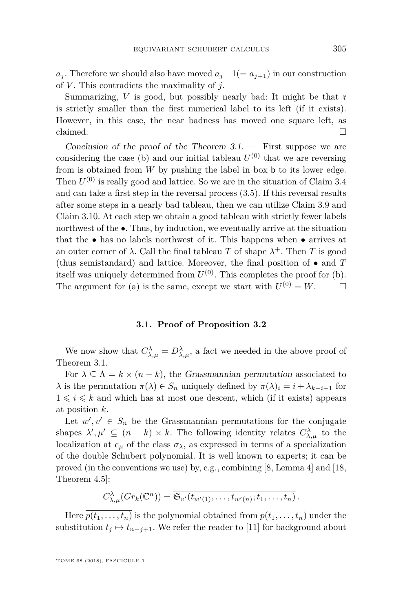*a*<sup>*j*</sup>. Therefore we should also have moved  $a_j - 1 (= a_{j+1})$  in our construction of *V* . This contradicts the maximality of *j*.

Summarizing,  $V$  is good, but possibly nearly bad: It might be that  $r$ is strictly smaller than the first numerical label to its left (if it exists). However, in this case, the near badness has moved one square left, as claimed.  $\Box$ 

Conclusion of the proof of the Theorem  $3.1$ . — First suppose we are considering the case [\(b\)](#page-24-1) and our initial tableau  $U^{(0)}$  that we are reversing from is obtained from *W* by pushing the label in box b to its lower edge. Then  $U^{(0)}$  is really good and lattice. So we are in the situation of Claim [3.4](#page-24-2) and can take a first step in the reversal process [\(3.5\)](#page-24-3). If this reversal results after some steps in a nearly bad tableau, then we can utilize Claim [3.9](#page-29-0) and Claim [3.10.](#page-29-1) At each step we obtain a good tableau with strictly fewer labels northwest of the •. Thus, by induction, we eventually arrive at the situation that the  $\bullet$  has no labels northwest of it. This happens when  $\bullet$  arrives at an outer corner of  $\lambda$ . Call the final tableau *T* of shape  $\lambda^+$ . Then *T* is good (thus semistandard) and lattice. Moreover, the final position of • and *T* itself was uniquely determined from  $U^{(0)}$ . This completes the proof for  $(b)$ . The argument for [\(a\)](#page-24-0) is the same, except we start with  $U^{(0)} = W$ .  $\Box$ 

#### **3.1. Proof of Proposition [3.2](#page-22-2)**

<span id="page-31-0"></span>We now show that  $C^{\lambda}_{\lambda,\mu} = D^{\lambda}_{\lambda,\mu}$ , a fact we needed in the above proof of Theorem [3.1.](#page-22-1)

For  $\lambda \subseteq \Lambda = k \times (n - k)$ , the Grassmannian permutation associated to *λ* is the permutation  $\pi(\lambda) \in S_n$  uniquely defined by  $\pi(\lambda)_i = i + \lambda_{k-i+1}$  for  $1 \leq i \leq k$  and which has at most one descent, which (if it exists) appears at position *k*.

Let  $w', v' \in S_n$  be the Grassmannian permutations for the conjugate shapes  $\lambda', \mu' \subseteq (n-k) \times k$ . The following identity relates  $C^{\lambda}_{\lambda,\mu}$  to the localization at  $e_{\mu}$  of the class  $\sigma_{\lambda}$ , as expressed in terms of a specialization of the double Schubert polynomial. It is well known to experts; it can be proved (in the conventions we use) by, e.g., combining [\[8,](#page-43-1) Lemma 4] and [\[18,](#page-43-8) Theorem 4.5]:

$$
C^{\lambda}_{\lambda,\mu}(Gr_k(\mathbb{C}^n))=\overline{\mathfrak{S}_{v'}(t_{w'(1)},\ldots,t_{w'(n)};t_1,\ldots,t_n)}.
$$

Here  $\overline{p(t_1,\ldots,t_n)}$  is the polynomial obtained from  $p(t_1,\ldots,t_n)$  under the substitution  $t_j \mapsto t_{n-j+1}$ . We refer the reader to [\[11\]](#page-43-9) for background about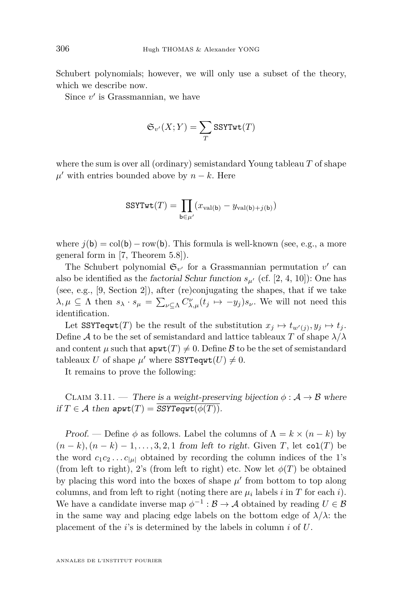Schubert polynomials; however, we will only use a subset of the theory, which we describe now.

Since  $v'$  is Grassmannian, we have

$$
\mathfrak{S}_{v'}(X;Y)=\sum_{T} \mathrm{SSYTwt}(T)
$$

where the sum is over all (ordinary) semistandard Young tableau *T* of shape  $\mu'$  with entries bounded above by  $n - k$ . Here

$$
SSYTwt(T) = \prod_{\mathsf{b}\in\mu'} (x_{\text{val}(\mathsf{b})} - y_{\text{val}(\mathsf{b}) + j(\mathsf{b})})
$$

where  $j(b) = col(b) - row(b)$ . This formula is well-known (see, e.g., a more general form in [\[7,](#page-43-10) Theorem 5.8]).

The Schubert polynomial  $\mathfrak{S}_{v'}$  for a Grassmannian permutation  $v'$  can also be identified as the *factorial Schur function*  $s_{\mu'}$  (cf. [\[2,](#page-43-11) [4,](#page-43-12) [10\]](#page-43-13)): One has (see, e.g., [\[9,](#page-43-4) Section 2]), after (re)conjugating the shapes, that if we take  $\lambda, \mu \subseteq \Lambda$  then  $s_{\lambda} \cdot s_{\mu} = \sum_{\nu \subseteq \Lambda} C^{\nu}_{\lambda,\mu}(t_j \mapsto -y_j) s_{\nu}$ . We will not need this identification.

Let  $SSYTeqwt(T)$  be the result of the substitution  $x_j \mapsto t_{w'(j)}, y_j \mapsto t_j$ . Define A to be the set of semistandard and lattice tableaux T of shape  $\lambda/\lambda$ and content  $\mu$  such that  $\text{apwt}(T) \neq 0$ . Define B to be the set of semistandard tableaux *U* of shape  $\mu'$  where SSYTeqwt $(U) \neq 0$ .

It remains to prove the following:

CLAIM 3.11. — There is a weight-preserving bijection  $\phi : A \rightarrow \mathcal{B}$  where if  $T \in \mathcal{A}$  then  $\text{apwt}(T) = \text{SSYTeqrt}(\phi(T)).$ 

Proof. — Define  $\phi$  as follows. Label the columns of  $\Lambda = k \times (n - k)$  by  $(n-k)$ ,  $(n-k)-1, \ldots, 3, 2, 1$  from left to right. Given *T*, let col(*T*) be the word  $c_1c_2 \ldots c_{|\mu|}$  obtained by recording the column indices of the 1's (from left to right), 2's (from left to right) etc. Now let  $\phi(T)$  be obtained by placing this word into the boxes of shape  $\mu'$  from bottom to top along columns, and from left to right (noting there are  $\mu_i$  labels *i* in *T* for each *i*). We have a candidate inverse map  $\phi^{-1} : \mathcal{B} \to \mathcal{A}$  obtained by reading  $U \in \mathcal{B}$ in the same way and placing edge labels on the bottom edge of  $\lambda/\lambda$ : the placement of the *i*'s is determined by the labels in column *i* of *U*.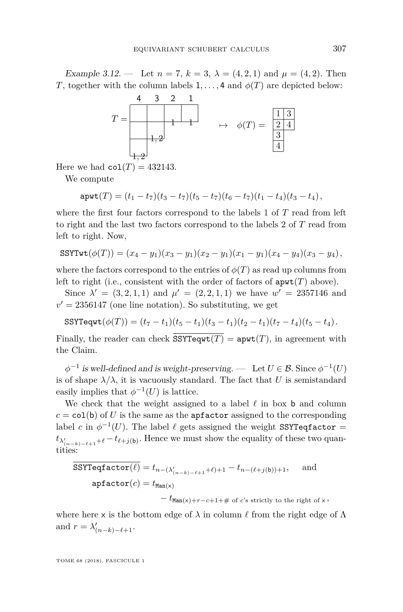Example 3.12. — Let  $n = 7$ ,  $k = 3$ ,  $\lambda = (4, 2, 1)$  and  $\mu = (4, 2)$ . Then *T*, together with the column labels  $1, \ldots, 4$  and  $\phi(T)$  are depicted below:



Here we had  $col(T) = 432143$ .

We compute

$$
\mathbf{apwt}(T)=(t_1-t_7)(t_3-t_7)(t_5-t_7)(t_6-t_7)(t_1-t_4)(t_3-t_4),
$$

where the first four factors correspond to the labels 1 of *T* read from left to right and the last two factors correspond to the labels 2 of *T* read from left to right. Now,

$$
SSYTwt(\phi(T)) = (x_4 - y_1)(x_3 - y_1)(x_2 - y_1)(x_1 - y_1)(x_4 - y_4)(x_3 - y_4),
$$

where the factors correspond to the entries of  $\phi(T)$  as read up columns from left to right (i.e., consistent with the order of factors of  $a$ pwt $(T)$  above).

Since  $\lambda' = (3, 2, 1, 1)$  and  $\mu' = (2, 2, 1, 1)$  we have  $w' = 2357146$  and  $v' = 2356147$  (one line notation). So substituting, we get

$$
\text{SSYTeqwt}(\phi(T)) = (t_7 - t_1)(t_5 - t_1)(t_3 - t_1)(t_2 - t_1)(t_7 - t_4)(t_5 - t_4).
$$

Finally, the reader can check  $\overline{\text{SSYTeqwt}(T)} = \text{apwt}(T)$ , in agreement with the Claim.

 $\phi^{-1}$  is well-defined and is weight-preserving. — Let  $U \in \mathcal{B}$ . Since  $\phi^{-1}(U)$ is of shape  $\lambda/\lambda$ , it is vacuously standard. The fact that U is semistandard easily implies that  $\phi^{-1}(U)$  is lattice.

We check that the weight assigned to a label  $\ell$  in box **b** and column  $c = \text{col}(b)$  of *U* is the same as the apfactor assigned to the corresponding label *c* in  $\phi^{-1}(U)$ . The label  $\ell$  gets assigned the weight SSYTeqfactor =  $t_{\lambda'_{(n-k)-\ell+1}+\ell}-t_{\ell+j(b)}$ . Hence we must show the equality of these two quantities:

$$
\begin{aligned} \text{SSYTeqfactor}(\ell) &= t_{n-(\lambda'_{(n-k)-\ell+1}+\ell)+1} - t_{n-(\ell+j(\mathsf{b}))+1}, \quad \text{ and} \\ \text{apfactor}(c) &= t_{\text{Man}(\mathsf{x})} \\ &- t_{\text{Man}(\mathsf{x})+r-c+1+\# \text{ of } c \text{'s strictly to the right of } \mathsf{x}}, \end{aligned}
$$

where here x is the bottom edge of  $\lambda$  in column  $\ell$  from the right edge of  $\Lambda$ and  $r = \lambda'_{(n-k)-\ell+1}$ .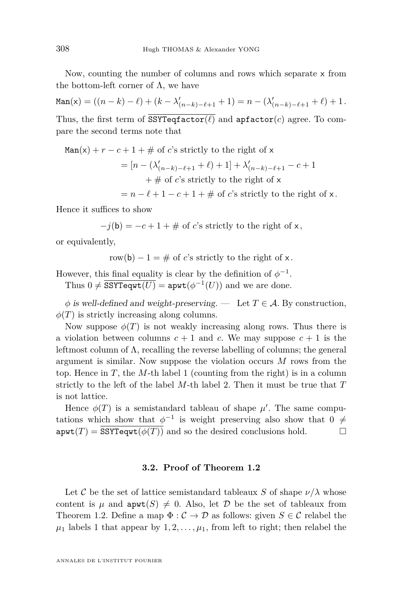Now, counting the number of columns and rows which separate x from the bottom-left corner of  $\Lambda$ , we have

$$
\text{Man}(\mathsf{x}) = ((n-k) - \ell) + (k - \lambda'_{(n-k)-\ell+1} + 1) = n - (\lambda'_{(n-k)-\ell+1} + \ell) + 1.
$$
  
Thus, the first term of  $\overline{\text{SSTreqfactor}(\ell)}$  and  $\text{apfactor}(c)$  agree. To compare the second terms note that

$$
\text{Man}(x) + r - c + 1 + \# \text{ of } c\text{'s strictly to the right of } x
$$
\n
$$
= [n - (\lambda'_{(n-k)-\ell+1} + \ell) + 1] + \lambda'_{(n-k)-\ell+1} - c + 1
$$
\n
$$
+ \# \text{ of } c\text{'s strictly to the right of } x
$$
\n
$$
= n - \ell + 1 - c + 1 + \# \text{ of } c\text{'s strictly to the right of } x.
$$

Hence it suffices to show

 $-j(b) = -c + 1 + \text{# of } c$ 's strictly to the right of x,

or equivalently,

$$
row(b) - 1 = #
$$
 of *c*'s strictly to the right of x.

However, this final equality is clear by the definition of  $\phi^{-1}$ .

Thus  $0 \neq \overline{SSYTeqwt(U)} = \text{apwt}(\phi^{-1}(U))$  and we are done.

 $\phi$  is well-defined and weight-preserving. — Let  $T \in \mathcal{A}$ . By construction,  $\phi(T)$  is strictly increasing along columns.

Now suppose  $\phi(T)$  is not weakly increasing along rows. Thus there is a violation between columns  $c + 1$  and  $c$ . We may suppose  $c + 1$  is the leftmost column of  $\Lambda$ , recalling the reverse labelling of columns; the general argument is similar. Now suppose the violation occurs *M* rows from the top. Hence in  $T$ , the  $M$ -th label 1 (counting from the right) is in a column strictly to the left of the label *M*-th label 2. Then it must be true that *T* is not lattice.

Hence  $\phi(T)$  is a semistandard tableau of shape  $\mu'$ . The same computations which show that  $\phi^{-1}$  is weight preserving also show that 0  $\neq$  $\text{apwt}(T) = \text{SSYTeqwt}(\phi(T))$  and so the desired conclusions hold.

#### **3.2. Proof of Theorem [1.2](#page-6-1)**

Let C be the set of lattice semistandard tableaux *S* of shape  $\nu/\lambda$  whose content is  $\mu$  and  $\text{apwt}(S) \neq 0$ . Also, let D be the set of tableaux from Theorem [1.2.](#page-6-1) Define a map  $\Phi : \mathcal{C} \to \mathcal{D}$  as follows: given  $S \in \mathcal{C}$  relabel the  $\mu_1$  labels 1 that appear by  $1, 2, \ldots, \mu_1$ , from left to right; then relabel the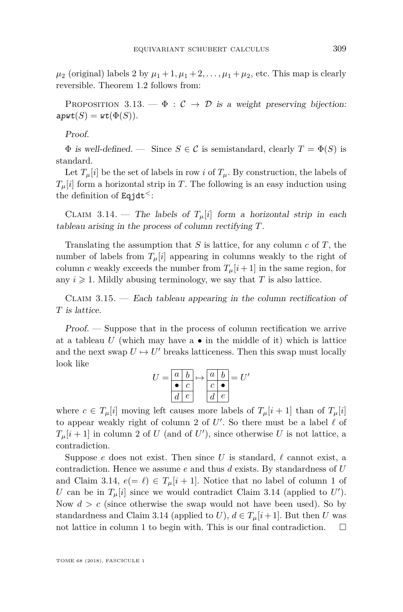$\mu_2$  (original) labels 2 by  $\mu_1 + 1, \mu_1 + 2, \ldots, \mu_1 + \mu_2$ , etc. This map is clearly reversible. Theorem [1.2](#page-6-1) follows from:

PROPOSITION 3.13. —  $\Phi : \mathcal{C} \to \mathcal{D}$  is a weight preserving bijection:  $\textsf{apwt}(S) = \textsf{wt}(\Phi(S)).$ 

Proof.

 $\Phi$  is well-defined. — Since  $S \in \mathcal{C}$  is semistandard, clearly  $T = \Phi(S)$  is standard.

Let  $T_\mu[i]$  be the set of labels in row *i* of  $T_\mu$ . By construction, the labels of  $T<sub>u</sub>[i]$  form a horizontal strip in *T*. The following is an easy induction using the definition of Eqjdt*<sup>&</sup>lt;*:

<span id="page-35-0"></span>CLAIM 3.14. — The labels of  $T_{\mu}[i]$  form a horizontal strip in each tableau arising in the process of column rectifying *T*.

Translating the assumption that *S* is lattice, for any column *c* of *T*, the number of labels from  $T_\mu[i]$  appearing in columns weakly to the right of column *c* weakly exceeds the number from  $T_\mu[i+1]$  in the same region, for any  $i \geq 1$ . Mildly abusing terminology, we say that *T* is also lattice.

<span id="page-35-1"></span>CLAIM  $3.15.$  — Each tableau appearing in the column rectification of *T* is lattice.

Proof. — Suppose that in the process of column rectification we arrive at a tableau  $U$  (which may have a  $\bullet$  in the middle of it) which is lattice and the next swap  $U \mapsto U'$  breaks latticeness. Then this swap must locally look like

| T. |         |            | $a \mid b \mid \rightarrow$ |            | $a \mid b \mid \equiv U'$ |
|----|---------|------------|-----------------------------|------------|---------------------------|
|    |         |            |                             |            |                           |
|    | $d_{-}$ | $\epsilon$ |                             | $\epsilon$ |                           |

where  $c \in T_\mu[i]$  moving left causes more labels of  $T_\mu[i+1]$  than of  $T_\mu[i]$ to appear weakly right of column 2 of  $U'$ . So there must be a label  $\ell$  of  $T_{\mu}[i+1]$  in column 2 of *U* (and of *U*'), since otherwise *U* is not lattice, a contradiction.

Suppose *e* does not exist. Then since *U* is standard,  $\ell$  cannot exist, a contradiction. Hence we assume *e* and thus *d* exists. By standardness of *U* and Claim [3.14,](#page-35-0)  $e(=\ell) \in T_\mu[i+1]$ . Notice that no label of column 1 of *U* can be in  $T_\mu[i]$  since we would contradict Claim [3.14](#page-35-0) (applied to  $U'$ ). Now  $d > c$  (since otherwise the swap would not have been used). So by standardness and Claim [3.14](#page-35-0) (applied to *U*),  $d \in T_\mu[i+1]$ . But then *U* was not lattice in column 1 to begin with. This is our final contradiction.  $\Box$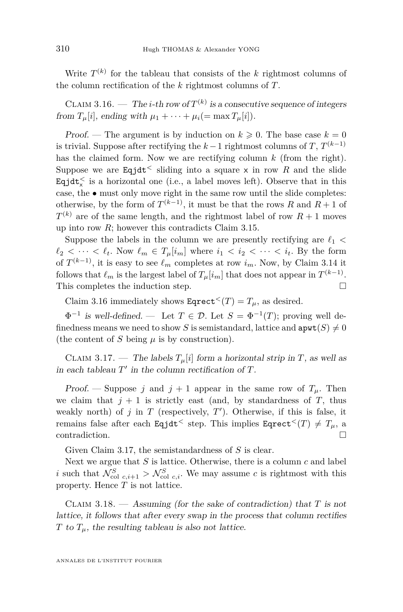Write  $T^{(k)}$  for the tableau that consists of the *k* rightmost columns of the column rectification of the *k* rightmost columns of *T*.

<span id="page-36-0"></span>CLAIM 3.16. — The *i*-th row of  $T^{(k)}$  is a consecutive sequence of integers from  $T_\mu[i]$ , ending with  $\mu_1 + \cdots + \mu_i (= \max T_\mu[i]).$ 

Proof. — The argument is by induction on  $k \geq 0$ . The base case  $k = 0$ is trivial. Suppose after rectifying the  $k-1$  rightmost columns of  $T, T^{(k-1)}$ has the claimed form. Now we are rectifying column *k* (from the right). Suppose we are Eqjdt<sup> $\leq$ </sup> sliding into a square x in row R and the slide  $\texttt{Equat}^{\leq}_x$  is a horizontal one (i.e., a label moves left). Observe that in this case, the  $\bullet$  must only move right in the same row until the slide completes: otherwise, by the form of  $T^{(k-1)}$ , it must be that the rows *R* and  $R+1$  of  $T^{(k)}$  are of the same length, and the rightmost label of row  $R+1$  moves up into row *R*; however this contradicts Claim [3.15.](#page-35-1)

Suppose the labels in the column we are presently rectifying are  $\ell_1$  <  $\ell_2 < \cdots < \ell_t$ . Now  $\ell_m \in T_\mu[i_m]$  where  $i_1 < i_2 < \cdots < i_t$ . By the form of  $T^{(k-1)}$ , it is easy to see  $\ell_m$  completes at row  $i_m$ . Now, by Claim [3.14](#page-35-0) it follows that  $\ell_m$  is the largest label of  $T_\mu[i_m]$  that does not appear in  $T^{(k-1)}$ . This completes the induction step.  $\Box$ 

Claim [3.16](#page-36-0) immediately shows  $\text{Eqrect}^<(T) = T_\mu$ , as desired.

 $\Phi^{-1}$  is well-defined. — Let  $T \in \mathcal{D}$ . Let  $S = \Phi^{-1}(T)$ ; proving well definedness means we need to show *S* is semistandard, lattice and  $\text{apwt}(S) \neq 0$ (the content of *S* being  $\mu$  is by construction).

<span id="page-36-1"></span>CLAIM 3.17. — The labels  $T_\mu[i]$  form a horizontal strip in *T*, as well as in each tableau  $T'$  in the column rectification of  $T$ .

Proof. — Suppose *j* and  $j + 1$  appear in the same row of  $T_{\mu}$ . Then we claim that  $j + 1$  is strictly east (and, by standardness of  $T$ , thus weakly north) of  $j$  in  $T$  (respectively,  $T'$ ). Otherwise, if this is false, it remains false after each Eqjdt<sup> $<$ </sup> step. This implies Eqrect<sup> $<$ </sup>(*T*)  $\neq$  *T*<sub> $\mu$ </sub>, a contradiction.

Given Claim [3.17,](#page-36-1) the semistandardness of *S* is clear.

Next we argue that *S* is lattice. Otherwise, there is a column *c* and label *i* such that  $\mathcal{N}_{\text{col } c,i+1}^S > \mathcal{N}_{\text{col } c,i}^S$ . We may assume *c* is rightmost with this property. Hence *T* is not lattice.

<span id="page-36-2"></span>Claim 3.18. — Assuming (for the sake of contradiction) that *T* is not lattice, it follows that after every swap in the process that column rectifies *T* to  $T_\mu$ , the resulting tableau is also not lattice.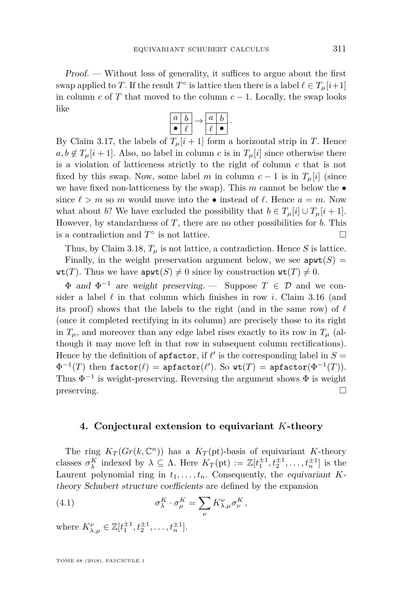Proof. — Without loss of generality, it suffices to argue about the first swap applied to *T*. If the result  $T^{\circ}$  is lattice then there is a label  $\ell \in T_{\mu}[i+1]$ in column  $c$  of  $T$  that moved to the column  $c - 1$ . Locally, the swap looks like

| а |  | а |  |
|---|--|---|--|
|   |  |   |  |

By Claim [3.17,](#page-36-1) the labels of  $T_\mu[i+1]$  form a horizontal strip in *T*. Hence  $a, b \notin T_\mu[i+1]$ . Also, no label in column *c* is in  $T_\mu[i]$  since otherwise there is a violation of latticeness strictly to the right of column *c* that is not fixed by this swap. Now, some label *m* in column  $c - 1$  is in  $T_\mu[i]$  (since we have fixed non-latticeness by the swap). This  $m$  cannot be below the  $\bullet$ since  $\ell > m$  so *m* would move into the • instead of  $\ell$ . Hence  $a = m$ . Now what about *b*? We have excluded the possibility that  $b \in T_\mu[i] \cup T_\mu[i+1]$ . However, by standardness of *T*, there are no other possibilities for *b*. This is a contradiction and  $T^{\circ}$  is not lattice.

Thus, by Claim [3.18,](#page-36-2)  $T_{\mu}$  is not lattice, a contradiction. Hence *S* is lattice.

Finally, in the weight preservation argument below, we see  $\text{apwt}(S) =$  $\text{wt}(T)$ . Thus we have  $\text{apwt}(S) \neq 0$  since by construction  $\text{wt}(T) \neq 0$ .

 $\Phi$  and  $\Phi^{-1}$  are weight preserving. — Suppose  $T \in \mathcal{D}$  and we consider a label  $\ell$  in that column which finishes in row *i*. Claim [3.16](#page-36-0) (and its proof) shows that the labels to the right (and in the same row) of  $\ell$ (once it completed rectifying in its column) are precisely those to its right in  $T_\mu$ , and moreover than any edge label rises exactly to its row in  $T_\mu$  (although it may move left in that row in subsequent column rectifications). Hence by the definition of  $\mathsf{apfactor}$ , if  $\ell'$  is the corresponding label in  $S =$  $\Phi^{-1}(T)$  then  $\texttt{factor}(\ell) = \texttt{apfactor}(\ell').$  So  $\texttt{wt}(T) = \texttt{apfactor}(\Phi^{-1}(T)).$ Thus  $\Phi^{-1}$  is weight-preserving. Reversing the argument shows  $\Phi$  is weight  $\Box$  preserving.

#### <span id="page-37-0"></span>**4. Conjectural extension to equivariant** *K***-theory**

The ring  $K_T(Gr(k, \mathbb{C}^n))$  has a  $K_T(\text{pt})$ -basis of equivariant *K*-theory classes  $\sigma_{\lambda}^K$  indexed by  $\lambda \subseteq \Lambda$ . Here  $K_T(\text{pt}) := \mathbb{Z}[t_1^{\pm 1}, t_2^{\pm 1}, \dots, t_n^{\pm 1}]$  is the Laurent polynomial ring in  $t_1, \ldots, t_n$ . Consequently, the equivariant *K*theory Schubert structure coefficients are defined by the expansion

(4.1) 
$$
\sigma^K_{\lambda} \cdot \sigma^K_{\mu} = \sum_{\nu} K^{\nu}_{\lambda,\mu} \sigma^K_{\nu},
$$

where  $K_{\lambda,\mu}^{\nu} \in \mathbb{Z}[t_1^{\pm 1}, t_2^{\pm 1}, \dots, t_n^{\pm 1}].$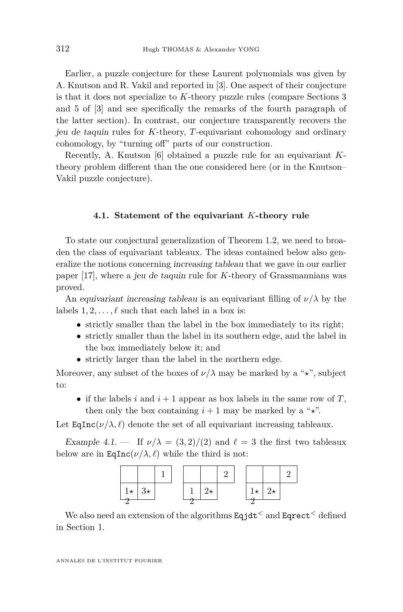Earlier, a puzzle conjecture for these Laurent polynomials was given by A. Knutson and R. Vakil and reported in [\[3\]](#page-43-14). One aspect of their conjecture is that it does not specialize to *K*-theory puzzle rules (compare Sections 3 and 5 of [\[3\]](#page-43-14) and see specifically the remarks of the fourth paragraph of the latter section). In contrast, our conjecture transparently recovers the jeu de taquin rules for *K*-theory, *T*-equivariant cohomology and ordinary cohomology, by "turning off" parts of our construction.

Recently, A. Knutson [\[6\]](#page-43-15) obtained a puzzle rule for an equivariant *K*theory problem different than the one considered here (or in the Knutson– Vakil puzzle conjecture).

#### **4.1. Statement of the equivariant** *K***-theory rule**

To state our conjectural generalization of Theorem [1.2,](#page-6-1) we need to broaden the class of equivariant tableaux. The ideas contained below also generalize the notions concerning increasing tableau that we gave in our earlier paper [\[17\]](#page-43-16), where a jeu de taquin rule for *K*-theory of Grassmannians was proved.

An equivariant increasing tableau is an equivariant filling of  $\nu/\lambda$  by the labels  $1, 2, \ldots, \ell$  such that each label in a box is:

- strictly smaller than the label in the box immediately to its right;
- strictly smaller than the label in its southern edge, and the label in the box immediately below it; and
- strictly larger than the label in the northern edge.

Moreover, any subset of the boxes of  $\nu/\lambda$  may be marked by a " $\star$ ", subject to:

• if the labels  $i$  and  $i + 1$  appear as box labels in the same row of  $T$ , then only the box containing  $i + 1$  may be marked by a " $\star$ ".

Let  $\text{EqInc}(\nu/\lambda, \ell)$  denote the set of all equivariant increasing tableaux.

Example 4.1. — If  $\nu/\lambda = (3, 2)/(2)$  and  $\ell = 3$  the first two tableaux below are in  $\text{EqInc}(\nu/\lambda, \ell)$  while the third is not:



We also need an extension of the algorithms Eqjdt*<sup>&</sup>lt;* and Eqrect*<sup>&</sup>lt;* defined in Section [1.](#page-1-0)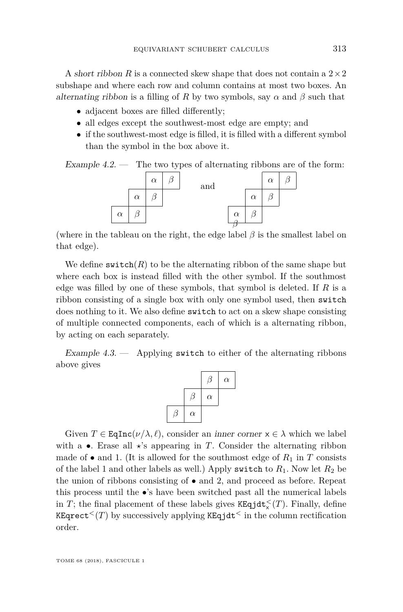A short ribbon *R* is a connected skew shape that does not contain a  $2 \times 2$ subshape and where each row and column contains at most two boxes. An alternating ribbon is a filling of R by two symbols, say  $\alpha$  and  $\beta$  such that

- adjacent boxes are filled differently;
- all edges except the southwest-most edge are empty; and
- if the southwest-most edge is filled, it is filled with a different symbol than the symbol in the box above it.

Example  $4.2.$  — The two types of alternating ribbons are of the form:



(where in the tableau on the right, the edge label  $\beta$  is the smallest label on that edge).

We define  $\textsf{switch}(R)$  to be the alternating ribbon of the same shape but where each box is instead filled with the other symbol. If the southmost edge was filled by one of these symbols, that symbol is deleted. If *R* is a ribbon consisting of a single box with only one symbol used, then switch does nothing to it. We also define switch to act on a skew shape consisting of multiple connected components, each of which is a alternating ribbon, by acting on each separately.

Example  $4.3.$  — Applying switch to either of the alternating ribbons above gives

|          |          | $\alpha$ |
|----------|----------|----------|
|          | $\alpha$ |          |
| $\alpha$ |          |          |

Given  $T \in \text{EqInc}(\nu/\lambda, \ell)$ , consider an *inner corner*  $x \in \lambda$  which we label with a  $\bullet$ . Erase all  $\star$ 's appearing in *T*. Consider the alternating ribbon made of  $\bullet$  and 1. (It is allowed for the southmost edge of  $R_1$  in  $T$  consists of the label 1 and other labels as well.) Apply switch to  $R_1$ . Now let  $R_2$  be the union of ribbons consisting of • and 2, and proceed as before. Repeat this process until the •'s have been switched past all the numerical labels in *T*; the final placement of these labels gives  $\texttt{KEqjdt}_{\times}^{<}(T)$ . Finally, define KEqrect<sup> $\leq$ </sup>(*T*) by successively applying KEqjdt<sup> $\leq$ </sup> in the column rectification order.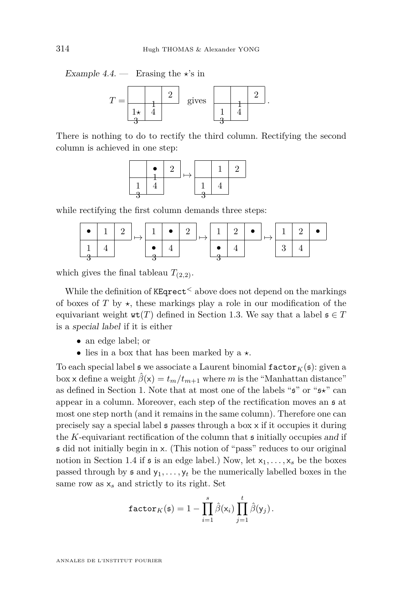<span id="page-40-0"></span>Example 4.4. — Erasing the  $\star$ 's in



There is nothing to do to rectify the third column. Rectifying the second column is achieved in one step:



while rectifying the first column demands three steps:

| $\mathbf{1}$ | 25 |  |  | $2 \mid 1 \mid 2 \mid$ |  |  |  |
|--------------|----|--|--|------------------------|--|--|--|
|              |    |  |  |                        |  |  |  |

which gives the final tableau  $T_{(2,2)}$ .

While the definition of KEqrect*<sup>&</sup>lt;* above does not depend on the markings of boxes of  $T$  by  $\star$ , these markings play a role in our modification of the equivariant weight  $\text{wt}(T)$  defined in Section [1.3.](#page-3-0) We say that a label  $\mathfrak{s} \in T$ is a special label if it is either

- an edge label; or
- lies in a box that has been marked by  $a \star$ .

To each special label  $\mathfrak s$  we associate a Laurent binomial  $\mathtt{factor}_K(\mathfrak s)$ : given a box x define a weight  $\hat{\beta}(x) = t_m/t_{m+1}$  where *m* is the "Manhattan distance" as defined in Section [1.](#page-1-0) Note that at most one of the labels " $\mathfrak{s}$ " or " $\mathfrak{s} \star$ " can appear in a column. Moreover, each step of the rectification moves an s at most one step north (and it remains in the same column). Therefore one can precisely say a special label s passes through a box x if it occupies it during the  $K$ -equivariant rectification of the column that  $\mathfrak s$  initially occupies and if s did not initially begin in x. (This notion of "pass" reduces to our original notion in Section [1.4](#page-4-1) if  $\mathfrak s$  is an edge label.) Now, let  $x_1, \ldots, x_s$  be the boxes passed through by  $\mathfrak s$  and  $y_1, \ldots, y_t$  be the numerically labelled boxes in the same row as  $x_s$  and strictly to its right. Set

$$
\texttt{factor}_K(\mathfrak{s}) = 1 - \prod_{i=1}^s \hat{\beta}(\mathsf{x}_i) \prod_{j=1}^t \hat{\beta}(\mathsf{y}_j).
$$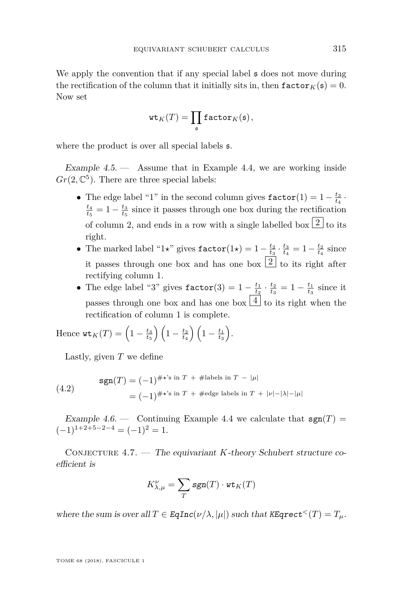We apply the convention that if any special label  $\sharp$  does not move during the rectification of the column that it initially sits in, then  $\texttt{factor}_K(\mathfrak{s}) = 0$ . Now set

$$
\mathrm{wt}_K(T)=\prod_{\mathfrak{s}}\mathtt{factor}_K(\mathfrak{s}),
$$

where the product is over all special labels s.

Example  $4.5.$  — Assume that in Example [4.4,](#page-40-0) we are working inside  $Gr(2, \mathbb{C}^5)$ . There are three special labels:

- The edge label "1" in the second column gives  $\texttt{factor}(1) = 1 \frac{t_3}{t_4}$ .  $\frac{t_4}{t_5} = 1 - \frac{t_3}{t_5}$  since it passes through one box during the rectification of column 2, and ends in a row with a single labelled box  $\boxed{2}$  to its right.
- The marked label "1<sup>\*</sup>" gives  $\text{factor}(1*) = 1 \frac{t_2}{t_3} \cdot \frac{t_3}{t_4} = 1 \frac{t_2}{t_4}$  since it passes through one box and has one box  $\boxed{2}$  to its right after rectifying column 1.
- The edge label "3" gives  $\text{factor}(3) = 1 \frac{t_1}{t_2} \cdot \frac{t_2}{t_3} = 1 \frac{t_1}{t_3}$  since it passes through one box and has one box  $\boxed{4}$  to its right when the rectification of column 1 is complete.

Hence 
$$
\operatorname{wt}_K(T) = \left(1 - \frac{t_3}{t_5}\right) \left(1 - \frac{t_2}{t_4}\right) \left(1 - \frac{t_1}{t_3}\right).
$$

Lastly, given *T* we define

(4.2) 
$$
\text{sgn}(T) = (-1)^{\# \star \text{'s in } T + \# \text{labels in } T - |\mu|}
$$

$$
= (-1)^{\# \star \text{'s in } T + \# \text{edge labels in } T + |\nu| - |\lambda| - |\mu|}
$$

Example 4.6. — Continuing Example [4.4](#page-40-0) we calculate that  $sgn(T)$  =  $(-1)^{1+2+5-2-4} = (-1)^2 = 1.$ 

<span id="page-41-0"></span>CONJECTURE 4.7. — The equivariant *K*-theory Schubert structure coefficient is

$$
K_{\lambda,\mu}^{\nu} = \sum_{T} sgn(T) \cdot \mathbf{wt}_K(T)
$$

where the sum is over all  $T \in \text{EqInc}(\nu/\lambda, |\mu|)$  such that  $\text{KEqrect}^{<}(T) = T_{\mu}$ .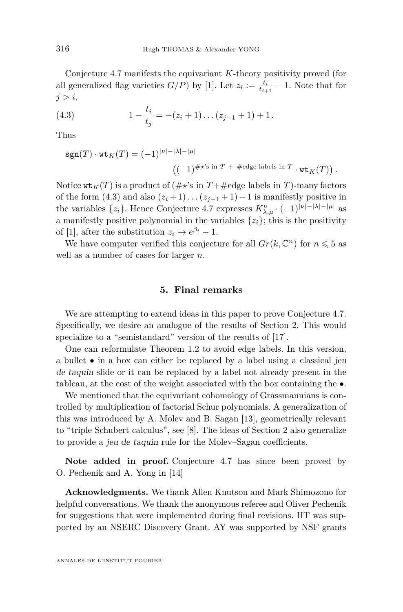Conjecture [4.7](#page-41-0) manifests the equivariant *K*-theory positivity proved (for all generalized flag varieties  $G/P$ ) by [\[1\]](#page-43-17). Let  $z_i := \frac{t_i}{t_{i+1}} - 1$ . Note that for *j > i*,

<span id="page-42-1"></span>(4.3) 
$$
1 - \frac{t_i}{t_j} = -(z_i + 1) \dots (z_{j-1} + 1) + 1.
$$

Thus

$$
sgn(T) \cdot \text{wt}_K(T) = (-1)^{|\nu| - |\lambda| - |\mu|}
$$

$$
((-1)^{\#\star's \text{ in } T} + \text{#edge labels in } T \cdot \text{wt}_K(T)).
$$

Notice  $\texttt{wt}_K(T)$  is a product of ( $\#\star$ 's in  $T+\texttt{\#edge}$ ) and *T*)-many factors of the form  $(4.3)$  and also  $(z_i+1)...(z_{i-1}+1)-1$  is manifestly positive in the variables  $\{z_i\}$ . Hence Conjecture [4.7](#page-41-0) expresses  $K^{\nu}_{\lambda,\mu} \cdot (-1)^{|\nu|-|\lambda|-|\mu|}$  as a manifestly positive polynomial in the variables  $\{z_i\}$ ; this is the positivity of [\[1\]](#page-43-17), after the substitution  $z_i \mapsto e^{\beta_i} - 1$ .

We have computer verified this conjecture for all  $Gr(k, \mathbb{C}^n)$  for  $n \leq 5$  as well as a number of cases for larger *n*.

#### **5. Final remarks**

<span id="page-42-0"></span>We are attempting to extend ideas in this paper to prove Conjecture [4.7.](#page-41-0) Specifically, we desire an analogue of the results of Section [2.](#page-7-0) This would specialize to a "semistandard" version of the results of [\[17\]](#page-43-16).

One can reformulate Theorem [1.2](#page-6-1) to avoid edge labels. In this version, a bullet • in a box can either be replaced by a label using a classical jeu de taquin slide or it can be replaced by a label not already present in the tableau, at the cost of the weight associated with the box containing the •.

We mentioned that the equivariant cohomology of Grassmannians is controlled by multiplication of factorial Schur polynomials. A generalization of this was introduced by A. Molev and B. Sagan [\[13\]](#page-43-7), geometrically relevant to "triple Schubert calculus", see [\[8\]](#page-43-1). The ideas of Section [2](#page-7-0) also generalize to provide a jeu de taquin rule for the Molev–Sagan coefficients.

**Note added in proof.** Conjecture [4.7](#page-41-0) has since been proved by O. Pechenik and A. Yong in [\[14\]](#page-43-18)

**Acknowledgments.** We thank Allen Knutson and Mark Shimozono for helpful conversations. We thank the anonymous referee and Oliver Pechenik for suggestions that were implemented during final revisions. HT was supported by an NSERC Discovery Grant. AY was supported by NSF grants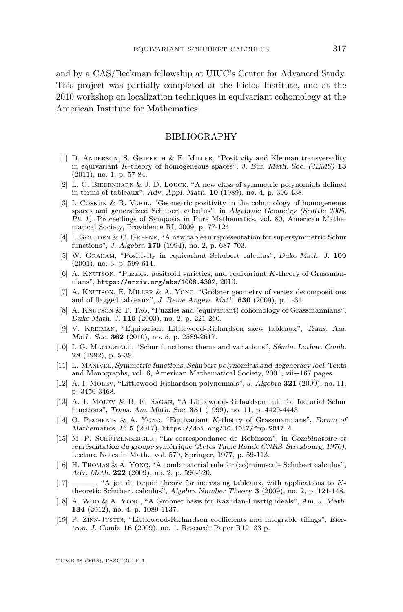and by a CAS/Beckman fellowship at UIUC's Center for Advanced Study. This project was partially completed at the Fields Institute, and at the 2010 workshop on localization techniques in equivariant cohomology at the American Institute for Mathematics.

#### BIBLIOGRAPHY

- <span id="page-43-17"></span>[1] D. Anderson, S. Griffeth & E. Miller, "Positivity and Kleiman transversality in equivariant *K*-theory of homogeneous spaces", J. Eur. Math. Soc. (JEMS) **13** (2011), no. 1, p. 57-84.
- <span id="page-43-11"></span>[2] L. C. BIEDENHARN & J. D. LOUCK, "A new class of symmetric polynomials defined in terms of tableaux", Adv. Appl. Math. **10** (1989), no. 4, p. 396-438.
- <span id="page-43-14"></span>[3] I. Coskun & R. Vakil, "Geometric positivity in the cohomology of homogeneous spaces and generalized Schubert calculus", in Algebraic Geometry (Seattle 2005, Pt. 1), Proceedings of Symposia in Pure Mathematics, vol. 80, American Mathematical Society, Providence RI, 2009, p. 77-124.
- <span id="page-43-12"></span>[4] I. Goulden & C. Greene, "A new tableau representation for supersymmetric Schur functions", J. Algebra **170** (1994), no. 2, p. 687-703.
- <span id="page-43-3"></span>[5] W. Graham, "Positivity in equivariant Schubert calculus", Duke Math. J. **109** (2001), no. 3, p. 599-614.
- <span id="page-43-15"></span>[6] A. KNUTSON, "Puzzles, positroid varieties, and equivariant *K*-theory of Grassmannians", <https://arxiv.org/abs/1008.4302>, 2010.
- <span id="page-43-10"></span>[7] A. Knutson, E. Miller & A. Yong, "Gröbner geometry of vertex decompositions and of flagged tableaux", J. Reine Angew. Math. **630** (2009), p. 1-31.
- <span id="page-43-1"></span>[8] A. KNUTSON & T. TAO, "Puzzles and (equivariant) cohomology of Grassmannians", Duke Math. J. **119** (2003), no. 2, p. 221-260.
- <span id="page-43-4"></span>[9] V. Kreiman, "Equivariant Littlewood-Richardson skew tableaux", Trans. Am. Math. Soc. **362** (2010), no. 5, p. 2589-2617.
- <span id="page-43-13"></span>[10] I. G. MACDONALD, "Schur functions: theme and variations", Sémin. Lothar. Comb. **28** (1992), p. 5-39.
- <span id="page-43-9"></span>[11] L. Manivel, Symmetric functions, Schubert polynomials and degeneracy loci, Texts and Monographs, vol. 6, American Mathematical Society, 2001, vii+167 pages.
- <span id="page-43-5"></span>[12] A. I. Molev, "Littlewood-Richardson polynomials", J. Algebra **321** (2009), no. 11, p. 3450-3468.
- <span id="page-43-7"></span>[13] A. I. Molev & B. E. Sagan, "A Littlewood-Richardson rule for factorial Schur functions", Trans. Am. Math. Soc. **351** (1999), no. 11, p. 4429-4443.
- <span id="page-43-18"></span>[14] O. Pechenik & A. Yong, "Equivariant *K*-theory of Grassmannians", Forum of Mathematics, Pi **5** (2017), <https://doi.org/10.1017/fmp.2017.4>.
- <span id="page-43-0"></span>[15] M.-P. Schützenberger, "La correspondance de Robinson", in Combinatoire et représentation du groupe symétrique (Actes Table Ronde CNRS, Strasbourg, 1976), Lecture Notes in Math., vol. 579, Springer, 1977, p. 59-113.
- <span id="page-43-2"></span>[16] H. THOMAS & A. YONG, "A combinatorial rule for (co)minuscule Schubert calculus", Adv. Math. **222** (2009), no. 2, p. 596-620.
- <span id="page-43-16"></span>[17] ——— , "A jeu de taquin theory for increasing tableaux, with applications to *K*theoretic Schubert calculus", Algebra Number Theory **3** (2009), no. 2, p. 121-148.
- <span id="page-43-8"></span>[18] A. Woo & A. Yong, "A Gröbner basis for Kazhdan-Lusztig ideals", Am. J. Math. **134** (2012), no. 4, p. 1089-1137.
- <span id="page-43-6"></span>[19] P. Zinn-Justin, "Littlewood-Richardson coefficients and integrable tilings", Electron. J. Comb. **16** (2009), no. 1, Research Paper R12, 33 p.